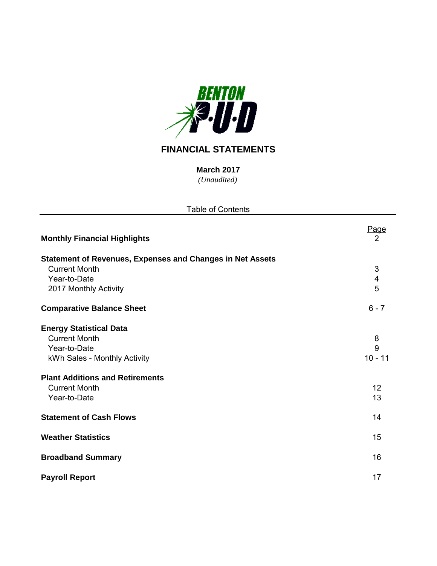

# **FINANCIAL STATEMENTS**

*(Unaudited)* **March 2017**

| <b>Table of Contents</b>                                                                                                                                                                 |                                 |  |  |  |  |  |  |  |
|------------------------------------------------------------------------------------------------------------------------------------------------------------------------------------------|---------------------------------|--|--|--|--|--|--|--|
| <b>Monthly Financial Highlights</b>                                                                                                                                                      | <u>Page</u><br>$\overline{2}$   |  |  |  |  |  |  |  |
| <b>Statement of Revenues, Expenses and Changes in Net Assets</b><br><b>Current Month</b><br>Year-to-Date<br>2017 Monthly Activity                                                        | $\mathfrak{S}$<br>4<br>5        |  |  |  |  |  |  |  |
| <b>Comparative Balance Sheet</b>                                                                                                                                                         | $6 - 7$                         |  |  |  |  |  |  |  |
| <b>Energy Statistical Data</b><br><b>Current Month</b><br>Year-to-Date<br>kWh Sales - Monthly Activity<br><b>Plant Additions and Retirements</b><br><b>Current Month</b><br>Year-to-Date | 8<br>9<br>$10 - 11$<br>12<br>13 |  |  |  |  |  |  |  |
| <b>Statement of Cash Flows</b>                                                                                                                                                           | 14                              |  |  |  |  |  |  |  |
| <b>Weather Statistics</b>                                                                                                                                                                | 15                              |  |  |  |  |  |  |  |
| <b>Broadband Summary</b>                                                                                                                                                                 | 16                              |  |  |  |  |  |  |  |
| <b>Payroll Report</b>                                                                                                                                                                    | 17                              |  |  |  |  |  |  |  |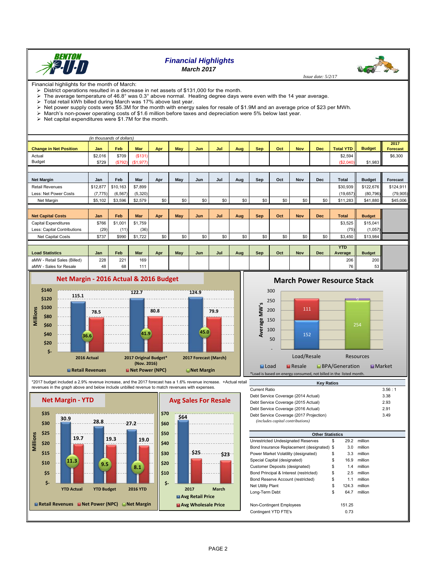

# *Financial Highlights March 2017*

 *Issue date: 5/2/17*

**Contract Street** 

Financial highlights for the month of March:

- District operations resulted in a decrease in net assets of \$131,000 for the month.<br>
> The average temperature of 46.8° was 0.3° above normal. Heating degree days The average temperature of 46.8° was 0.3° above normal. Heating degree days were even with the 14 year average.<br>
> Total retail kWh billed during March was 17% above last year.
- $\geq$  Total retail kWh billed during March was 17% above last year.<br> $\geq$  Net power supply costs were \$5.3M for the month with energy
- Net power supply costs were \$5.3M for the month with energy sales for resale of \$1.9M and an average price of \$23 per MWh.
- $\triangleright$  March's non-power operating costs of \$1.6 million before taxes and depreciation were 5% below last year.
- $\triangleright$  Net capital expenditures were \$1.7M for the month.

|                               |            | (in thousands of dollars) |            |     |     |            |     |     |            |     |            |            |                       |               |                         |
|-------------------------------|------------|---------------------------|------------|-----|-----|------------|-----|-----|------------|-----|------------|------------|-----------------------|---------------|-------------------------|
| <b>Change in Net Position</b> | <b>Jan</b> | <b>Feb</b>                | <b>Mar</b> | Apr | May | <b>Jun</b> | Jul | Aug | <b>Sep</b> | Oct | <b>Nov</b> | <b>Dec</b> | <b>Total YTD</b>      | <b>Budget</b> | 2017<br><b>Forecast</b> |
| Actual                        | \$2,016    | \$709                     | (\$131)    |     |     |            |     |     |            |     |            |            | \$2,594               |               | \$6,300                 |
| <b>Budget</b>                 | \$729      | (\$792)                   | (\$1,977)  |     |     |            |     |     |            |     |            |            | (\$2,040)             | \$1,983       |                         |
|                               |            |                           |            |     |     |            |     |     |            |     |            |            |                       |               |                         |
| <b>Net Margin</b>             | Jan        | Feb                       | Mar        | Apr | May | Jun        | Jul | Aug | Sep        | Oct | <b>Nov</b> | <b>Dec</b> | <b>Total</b>          | <b>Budget</b> | Forecast                |
| <b>Retail Revenues</b>        | \$12,877   | \$10,163                  | \$7,899    |     |     |            |     |     |            |     |            |            | \$30,939              | \$122,676     | \$124,911               |
| Less: Net Power Costs         | (7, 775)   | (6, 567)                  | (5,320)    |     |     |            |     |     |            |     |            |            | (19, 657)             | (80, 796)     | (79, 905)               |
| Net Margin                    | \$5,102    | \$3,596                   | \$2,579    | \$0 | \$0 | \$0        | \$0 | \$0 | \$0        | \$0 | \$0        | \$0        | \$11,283              | \$41,880      | \$45,006                |
|                               |            |                           |            |     |     |            |     |     |            |     |            |            |                       |               |                         |
| <b>Net Capital Costs</b>      | Jan        | Feb                       | <b>Mar</b> | Apr | May | Jun        | Jul | Aug | <b>Sep</b> | Oct | <b>Nov</b> | <b>Dec</b> | <b>Total</b>          | <b>Budget</b> |                         |
| Capital Expenditures          | \$766      | \$1.001                   | \$1,759    |     |     |            |     |     |            |     |            |            | \$3,525               | \$15,041      |                         |
| Less: Capital Contributions   | (29)       | (11)                      | (36)       |     |     |            |     |     |            |     |            |            | (75)                  | (1,057)       |                         |
| Net Capital Costs             | \$737      | \$990                     | \$1,722    | \$0 | \$0 | \$0        | \$0 | \$0 | \$0        | \$0 | \$0        | \$0        | \$3,450               | \$13,984      |                         |
|                               |            |                           |            |     |     |            |     |     |            |     |            |            |                       |               |                         |
| <b>Load Statistics</b>        | Jan        | Feb                       | Mar        | Apr | May | Jun        | Jul | Aug | Sep        | Oct | <b>Nov</b> | <b>Dec</b> | <b>YTD</b><br>Average | <b>Budget</b> |                         |
| aMW - Retail Sales (Billed)   | 228        | 221                       | 169        |     |     |            |     |     |            |     |            |            | 206                   | 200           |                         |
| aMW - Sales for Resale        | 48         | 68                        | 111        |     |     |            |     |     |            |     |            |            | 76                    | 53            |                         |



**March Power Resource Stack**



\*2017 budget included a 2.9% revenue increase, and the 2017 forecast has a 1.6% revenue increase. +Actual retail revenues in the graph above and below include unbilled revenue to match revenues with expenses.



| ıil | <b>Key Ratios</b>                                                           |        |
|-----|-----------------------------------------------------------------------------|--------|
|     | <b>Current Ratio</b>                                                        | 3.56:1 |
|     | Debt Service Coverage (2014 Actual)                                         | 3.38   |
|     | Debt Service Coverage (2015 Actual)                                         | 2.93   |
|     | Debt Service Coverage (2016 Actual)                                         | 2.91   |
|     | Debt Service Coverage (2017 Projection)<br>(includes capital contributions) | 3.49   |

| <b>Other Statistics</b>                    |    |        |         |  |  |  |  |  |  |  |
|--------------------------------------------|----|--------|---------|--|--|--|--|--|--|--|
| Unrestricted Undesignated Reserves         | \$ | 29.2   | million |  |  |  |  |  |  |  |
| Bond Insurance Replacement (designated) \$ |    | 3.0    | million |  |  |  |  |  |  |  |
| Power Market Volatility (designated)       | \$ | 3.3    | million |  |  |  |  |  |  |  |
| Special Capital (designated)               | \$ | 16.9   | million |  |  |  |  |  |  |  |
| <b>Customer Deposits (designated)</b>      | \$ | 1.4    | million |  |  |  |  |  |  |  |
| Bond Principal & Interest (restricted)     | \$ | 2.5    | million |  |  |  |  |  |  |  |
| Bond Reserve Account (restricted)          | \$ | 1.1    | million |  |  |  |  |  |  |  |
| Net Utility Plant                          | \$ | 124.3  | million |  |  |  |  |  |  |  |
| Long-Term Debt                             | \$ | 64.7   | million |  |  |  |  |  |  |  |
| Non-Contingent Employees                   |    | 151.25 |         |  |  |  |  |  |  |  |
| Contingent YTD FTE's                       |    | 0.73   |         |  |  |  |  |  |  |  |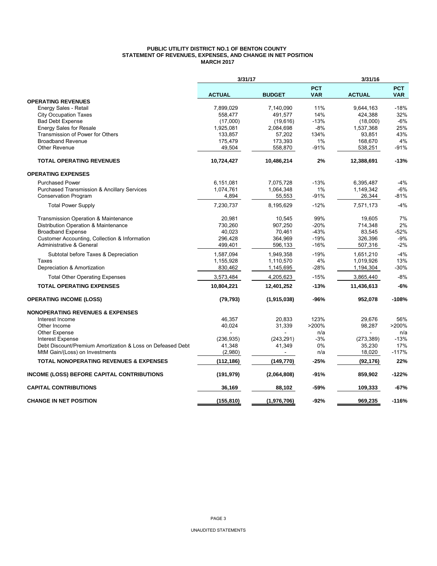#### **PUBLIC UTILITY DISTRICT NO.1 OF BENTON COUNTY STATEMENT OF REVENUES, EXPENSES, AND CHANGE IN NET POSITION MARCH 2017**

|                                                            | 3/31/17       |               | 3/31/16                  |               |                          |  |
|------------------------------------------------------------|---------------|---------------|--------------------------|---------------|--------------------------|--|
|                                                            | <b>ACTUAL</b> | <b>BUDGET</b> | <b>PCT</b><br><b>VAR</b> | <b>ACTUAL</b> | <b>PCT</b><br><b>VAR</b> |  |
| <b>OPERATING REVENUES</b>                                  |               |               |                          |               |                          |  |
| Energy Sales - Retail                                      | 7,899,029     | 7,140,090     | 11%                      | 9,644,163     | $-18%$                   |  |
| <b>City Occupation Taxes</b>                               | 558.477       | 491,577       | 14%                      | 424,388       | 32%                      |  |
| <b>Bad Debt Expense</b>                                    | (17,000)      | (19,616)      | $-13%$                   | (18,000)      | $-6%$                    |  |
| <b>Energy Sales for Resale</b>                             | 1,925,081     | 2,084,698     | $-8%$                    | 1,537,368     | 25%                      |  |
| Transmission of Power for Others                           | 133,857       | 57,202        | 134%                     | 93.851        | 43%                      |  |
| <b>Broadband Revenue</b>                                   | 175,479       | 173,393       | 1%                       | 168,670       | 4%                       |  |
| Other Revenue                                              | 49,504        | 558,870       | $-91%$                   | 538,251       | $-91%$                   |  |
| <b>TOTAL OPERATING REVENUES</b>                            | 10,724,427    | 10,486,214    | 2%                       | 12,388,691    | $-13%$                   |  |
| <b>OPERATING EXPENSES</b>                                  |               |               |                          |               |                          |  |
| <b>Purchased Power</b>                                     | 6,151,081     | 7,075,728     | $-13%$                   | 6,395,487     | $-4%$                    |  |
| <b>Purchased Transmission &amp; Ancillary Services</b>     | 1,074,761     | 1,064,348     | 1%                       | 1,149,342     | $-6%$                    |  |
| <b>Conservation Program</b>                                | 4,894         | 55,553        | $-91%$                   | 26,344        | $-81%$                   |  |
| <b>Total Power Supply</b>                                  | 7,230,737     | 8,195,629     | $-12%$                   | 7,571,173     | $-4%$                    |  |
| Transmission Operation & Maintenance                       | 20,981        | 10,545        | 99%                      | 19,605        | 7%                       |  |
| Distribution Operation & Maintenance                       | 730,260       | 907,250       | $-20%$                   | 714,348       | 2%                       |  |
| <b>Broadband Expense</b>                                   | 40.023        | 70,461        | $-43%$                   | 83,545        | $-52%$                   |  |
| Customer Accounting, Collection & Information              | 296,428       | 364,969       | $-19%$                   | 326,396       | $-9%$                    |  |
| Administrative & General                                   | 499,401       | 596,133       | $-16%$                   | 507,316       | $-2%$                    |  |
| Subtotal before Taxes & Depreciation                       | 1,587,094     | 1,949,358     | $-19%$                   | 1,651,210     | $-4%$                    |  |
| Taxes                                                      | 1,155,928     | 1,110,570     | 4%                       | 1,019,926     | 13%                      |  |
| Depreciation & Amortization                                | 830,462       | 1,145,695     | $-28%$                   | 1,194,304     | $-30%$                   |  |
| <b>Total Other Operating Expenses</b>                      | 3,573,484     | 4,205,623     | $-15%$                   | 3,865,440     | $-8%$                    |  |
| <b>TOTAL OPERATING EXPENSES</b>                            | 10,804,221    | 12,401,252    | $-13%$                   | 11,436,613    | $-6%$                    |  |
| <b>OPERATING INCOME (LOSS)</b>                             | (79, 793)     | (1,915,038)   | -96%                     | 952,078       | $-108%$                  |  |
| <b>NONOPERATING REVENUES &amp; EXPENSES</b>                |               |               |                          |               |                          |  |
| Interest Income                                            | 46,357        | 20,833        | 123%                     | 29,676        | 56%                      |  |
| Other Income                                               | 40.024        | 31,339        | >200%                    | 98,287        | >200%                    |  |
| Other Expense                                              |               |               | n/a                      |               | n/a                      |  |
| <b>Interest Expense</b>                                    | (236, 935)    | (243, 291)    | $-3%$                    | (273, 389)    | $-13%$                   |  |
| Debt Discount/Premium Amortization & Loss on Defeased Debt | 41,348        | 41,349        | 0%                       | 35,230        | 17%                      |  |
| MtM Gain/(Loss) on Investments                             | (2,980)       |               | n/a                      | 18,020        | $-117%$                  |  |
| <b>TOTAL NONOPERATING REVENUES &amp; EXPENSES</b>          | (112, 186)    | (149, 770)    | $-25%$                   | (92, 176)     | 22%                      |  |
| <b>INCOME (LOSS) BEFORE CAPITAL CONTRIBUTIONS</b>          | (191, 979)    | (2,064,808)   | $-91%$                   | 859,902       | $-122%$                  |  |
| <b>CAPITAL CONTRIBUTIONS</b>                               | 36,169        | 88,102        | -59%                     | 109,333       | $-67%$                   |  |
| <b>CHANGE IN NET POSITION</b>                              | (155, 810)    | (1,976,706)   | $-92%$                   | 969.235       | $-116%$                  |  |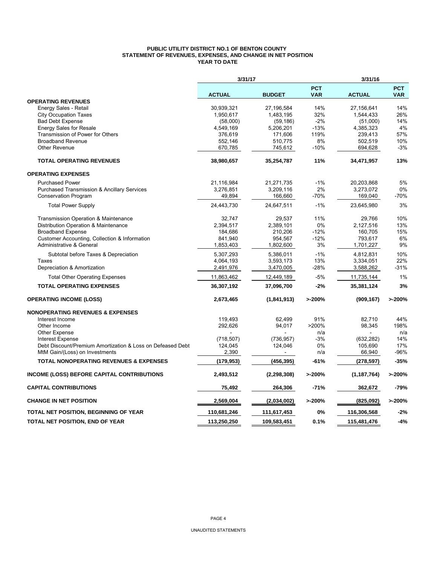#### **PUBLIC UTILITY DISTRICT NO.1 OF BENTON COUNTY STATEMENT OF REVENUES, EXPENSES, AND CHANGE IN NET POSITION YEAR TO DATE**

|                                                            | 3/31/17       |               | 3/31/16                  |               |                          |  |
|------------------------------------------------------------|---------------|---------------|--------------------------|---------------|--------------------------|--|
|                                                            | <b>ACTUAL</b> | <b>BUDGET</b> | <b>PCT</b><br><b>VAR</b> | <b>ACTUAL</b> | <b>PCT</b><br><b>VAR</b> |  |
| <b>OPERATING REVENUES</b>                                  |               |               |                          |               |                          |  |
| Energy Sales - Retail                                      | 30,939,321    | 27,196,584    | 14%                      | 27,156,641    | 14%                      |  |
| <b>City Occupation Taxes</b>                               | 1,950,617     | 1,483,195     | 32%                      | 1,544,433     | 26%                      |  |
| <b>Bad Debt Expense</b>                                    | (58,000)      | (59, 186)     | $-2%$                    | (51,000)      | 14%                      |  |
| <b>Energy Sales for Resale</b>                             | 4,549,169     | 5,206,201     | $-13%$                   | 4,385,323     | 4%                       |  |
| Transmission of Power for Others                           | 376,619       | 171,606       | 119%                     | 239,413       | 57%                      |  |
| <b>Broadband Revenue</b>                                   | 552,146       | 510,775       | 8%                       | 502,519       | 10%                      |  |
| Other Revenue                                              | 670,785       | 745,612       | $-10%$                   | 694,628       | $-3%$                    |  |
| <b>TOTAL OPERATING REVENUES</b>                            | 38,980,657    | 35,254,787    | 11%                      | 34,471,957    | 13%                      |  |
| <b>OPERATING EXPENSES</b>                                  |               |               |                          |               |                          |  |
| <b>Purchased Power</b>                                     | 21,116,984    | 21,271,735    | $-1%$                    | 20,203,868    | 5%                       |  |
| <b>Purchased Transmission &amp; Ancillary Services</b>     | 3,276,851     | 3,209,116     | 2%                       | 3,273,072     | 0%                       |  |
| <b>Conservation Program</b>                                | 49,894        | 166,660       | $-70%$                   | 169,040       | $-70%$                   |  |
| <b>Total Power Supply</b>                                  | 24,443,730    | 24,647,511    | $-1%$                    | 23,645,980    | 3%                       |  |
| Transmission Operation & Maintenance                       | 32,747        | 29,537        | 11%                      | 29,766        | 10%                      |  |
| Distribution Operation & Maintenance                       | 2,394,517     | 2,389,101     | 0%                       | 2,127,516     | 13%                      |  |
| <b>Broadband Expense</b>                                   | 184,686       | 210,206       | $-12%$                   | 160,705       | 15%                      |  |
| Customer Accounting, Collection & Information              | 841,940       | 954,567       | $-12%$                   | 793,617       | 6%                       |  |
| Administrative & General                                   | 1,853,403     | 1,802,600     | 3%                       | 1,701,227     | 9%                       |  |
| Subtotal before Taxes & Depreciation                       | 5,307,293     | 5,386,011     | $-1%$                    | 4,812,831     | 10%                      |  |
| Taxes                                                      | 4,064,193     | 3,593,173     | 13%                      | 3,334,051     | 22%                      |  |
| Depreciation & Amortization                                | 2,491,976     | 3,470,005     | -28%                     | 3,588,262     | $-31%$                   |  |
| <b>Total Other Operating Expenses</b>                      | 11,863,462    | 12,449,189    | $-5%$                    | 11,735,144    | 1%                       |  |
| <b>TOTAL OPERATING EXPENSES</b>                            | 36,307,192    | 37,096,700    | $-2%$                    | 35,381,124    | 3%                       |  |
| <b>OPERATING INCOME (LOSS)</b>                             | 2,673,465     | (1, 841, 913) | >200%                    | (909, 167)    | >200%                    |  |
| <b>NONOPERATING REVENUES &amp; EXPENSES</b>                |               |               |                          |               |                          |  |
| Interest Income                                            | 119,493       | 62,499        | 91%                      | 82,710        | 44%                      |  |
| Other Income                                               | 292,626       | 94,017        | >200%                    | 98,345        | 198%                     |  |
| <b>Other Expense</b>                                       |               |               | n/a                      |               | n/a                      |  |
| <b>Interest Expense</b>                                    | (718, 507)    | (736, 957)    | $-3%$                    | (632, 282)    | 14%                      |  |
| Debt Discount/Premium Amortization & Loss on Defeased Debt | 124,045       | 124,046       | 0%                       | 105,690       | 17%                      |  |
| MtM Gain/(Loss) on Investments                             | 2,390         |               | n/a                      | 66,940        | $-96%$                   |  |
| <b>TOTAL NONOPERATING REVENUES &amp; EXPENSES</b>          | (179, 953)    | (456, 395)    | -61%                     | (278,597)     | $-35%$                   |  |
| <b>INCOME (LOSS) BEFORE CAPITAL CONTRIBUTIONS</b>          | 2,493,512     | (2, 298, 308) | >200%                    | (1, 187, 764) | >200%                    |  |
| <b>CAPITAL CONTRIBUTIONS</b>                               | 75,492        | 264,306       | $-71%$                   | 362,672       | $-79%$                   |  |
| <b>CHANGE IN NET POSITION</b>                              | 2,569,004     | (2,034,002)   | >200%                    | (825,092)     | >200%                    |  |
| <b>TOTAL NET POSITION, BEGINNING OF YEAR</b>               | 110,681,246   | 111,617,453   | 0%                       | 116,306,568   | $-2%$                    |  |
| TOTAL NET POSITION, END OF YEAR                            | 113,250,250   | 109,583,451   | 0.1%                     | 115,481,476   | $-4%$                    |  |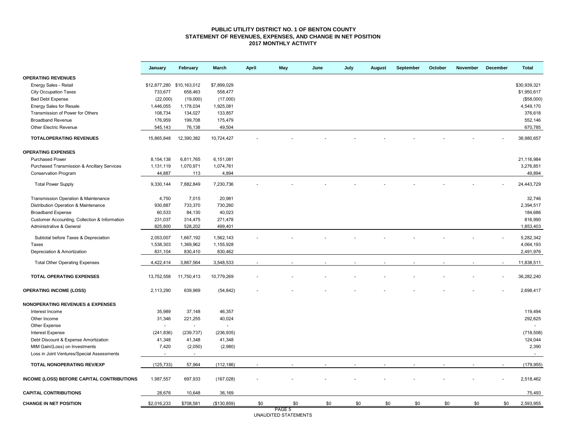#### **PUBLIC UTILITY DISTRICT NO. 1 OF BENTON COUNTY STATEMENT OF REVENUES, EXPENSES, AND CHANGE IN NET POSITION 2017 MONTHLY ACTIVITY**

|                                               | January                   | February   | March                    | April | May    | June | July | <b>August</b> | September | October | November | December | <b>Total</b> |
|-----------------------------------------------|---------------------------|------------|--------------------------|-------|--------|------|------|---------------|-----------|---------|----------|----------|--------------|
| <b>OPERATING REVENUES</b>                     |                           |            |                          |       |        |      |      |               |           |         |          |          |              |
| Energy Sales - Retail                         | \$12,877,280 \$10,163,012 |            | \$7,899,029              |       |        |      |      |               |           |         |          |          | \$30,939,321 |
| <b>City Occupation Taxes</b>                  | 733,677                   | 658,463    | 558,477                  |       |        |      |      |               |           |         |          |          | \$1,950,617  |
| <b>Bad Debt Expense</b>                       | (22,000)                  | (19,000)   | (17,000)                 |       |        |      |      |               |           |         |          |          | (\$58,000)   |
| <b>Energy Sales for Resale</b>                | 1,446,055                 | 1,178,034  | 1,925,081                |       |        |      |      |               |           |         |          |          | 4,549,170    |
| Transmission of Power for Others              | 108,734                   | 134,027    | 133,857                  |       |        |      |      |               |           |         |          |          | 376,618      |
| <b>Broadband Revenue</b>                      | 176,959                   | 199,708    | 175,479                  |       |        |      |      |               |           |         |          |          | 552,146      |
| <b>Other Electric Revenue</b>                 | 545,143                   | 76,138     | 49,504                   |       |        |      |      |               |           |         |          |          | 670,785      |
| <b>TOTALOPERATING REVENUES</b>                | 15,865,848                | 12,390,382 | 10,724,427               |       |        |      |      |               |           |         |          |          | 38,980,657   |
| <b>OPERATING EXPENSES</b>                     |                           |            |                          |       |        |      |      |               |           |         |          |          |              |
| <b>Purchased Power</b>                        | 8,154,138                 | 6,811,765  | 6,151,081                |       |        |      |      |               |           |         |          |          | 21,116,984   |
| Purchased Transmission & Ancillary Services   | 1,131,119                 | 1,070,971  | 1,074,761                |       |        |      |      |               |           |         |          |          | 3,276,851    |
| Conservation Program                          | 44,887                    | 113        | 4,894                    |       |        |      |      |               |           |         |          |          | 49,894       |
| <b>Total Power Supply</b>                     | 9,330,144                 | 7,882,849  | 7,230,736                |       |        |      |      |               |           |         |          |          | 24,443,729   |
| Transmission Operation & Maintenance          | 4,750                     | 7,015      | 20,981                   |       |        |      |      |               |           |         |          |          | 32,746       |
| Distribution Operation & Maintenance          | 930,887                   | 733,370    | 730,260                  |       |        |      |      |               |           |         |          |          | 2,394,517    |
| <b>Broadband Expense</b>                      | 60,533                    | 84,130     | 40,023                   |       |        |      |      |               |           |         |          |          | 184,686      |
| Customer Accounting, Collection & Information | 231,037                   | 314,475    | 271,478                  |       |        |      |      |               |           |         |          |          | 816,990      |
| Administrative & General                      | 825,800                   | 528,202    | 499,401                  |       |        |      |      |               |           |         |          |          | 1,853,403    |
| Subtotal before Taxes & Depreciation          | 2,053,007                 | 1,667,192  | 1,562,143                |       |        |      |      |               |           |         |          |          | 5,282,342    |
| Taxes                                         | 1,538,303                 | 1,369,962  | 1,155,928                |       |        |      |      |               |           |         |          |          | 4,064,193    |
| Depreciation & Amortization                   | 831,104                   | 830,410    | 830,462                  |       |        |      |      |               |           |         |          |          | 2,491,976    |
|                                               |                           |            |                          |       |        |      |      |               |           |         |          |          |              |
| <b>Total Other Operating Expenses</b>         | 4,422,414                 | 3,867,564  | 3,548,533                |       |        |      |      |               |           |         |          |          | 11,838,511   |
| <b>TOTAL OPERATING EXPENSES</b>               | 13,752,558                | 11,750,413 | 10,779,269               |       |        |      |      |               |           |         |          |          | 36,282,240   |
| <b>OPERATING INCOME (LOSS)</b>                | 2,113,290                 | 639,969    | (54, 842)                |       |        |      |      |               |           |         |          |          | 2,698,417    |
| <b>NONOPERATING REVENUES &amp; EXPENSES</b>   |                           |            |                          |       |        |      |      |               |           |         |          |          |              |
| Interest Income                               | 35,989                    | 37,148     | 46,357                   |       |        |      |      |               |           |         |          |          | 119,494      |
| Other Income                                  | 31,346                    | 221,255    | 40,024                   |       |        |      |      |               |           |         |          |          | 292,625      |
| Other Expense                                 |                           | $\sim$     | $\overline{\phantom{a}}$ |       |        |      |      |               |           |         |          |          | $\sim$       |
| <b>Interest Expense</b>                       | (241, 836)                | (239, 737) | (236, 935)               |       |        |      |      |               |           |         |          |          | (718, 508)   |
| Debt Discount & Expense Amortization          | 41,348                    | 41,348     | 41,348                   |       |        |      |      |               |           |         |          |          | 124,044      |
| MtM Gain/(Loss) on Investments                | 7,420                     | (2,050)    | (2,980)                  |       |        |      |      |               |           |         |          |          | 2,390        |
| Loss in Joint Ventures/Special Assessments    |                           | $\sim$     |                          |       |        |      |      |               |           |         |          |          | $\sim$       |
| <b>TOTAL NONOPERATING REV/EXP</b>             | (125, 733)                | 57,964     | (112, 186)               |       |        |      |      |               |           |         |          |          | (179, 955)   |
| INCOME (LOSS) BEFORE CAPITAL CONTRIBUTIONS    | 1,987,557                 | 697,933    | (167, 028)               |       |        |      |      |               |           |         |          |          | 2,518,462    |
| <b>CAPITAL CONTRIBUTIONS</b>                  | 28,676                    | 10,648     | 36,169                   |       |        |      |      |               |           |         |          |          | 75,493       |
| <b>CHANGE IN NET POSITION</b>                 | \$2,016,233               | \$708,581  | (\$130, 859)             | \$0   | \$0    | \$0  | \$0  | \$0           | \$0       | \$0     | \$0      | \$0      | 2,593,955    |
|                                               |                           |            |                          |       | PAGE 5 |      |      |               |           |         |          |          |              |

PAGE 5 UNAUDITED STATEMENTS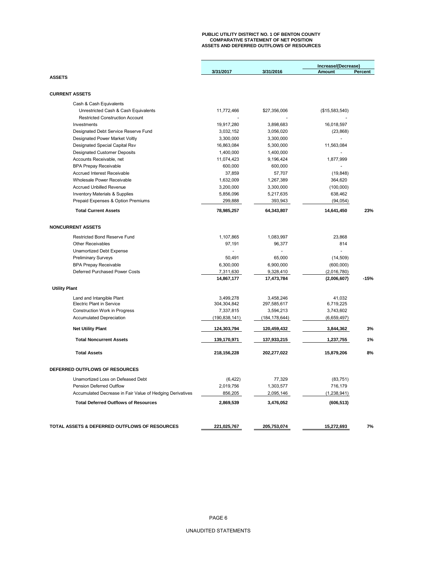# **PUBLIC UTILITY DISTRICT NO. 1 OF BENTON COUNTY COMPARATIVE STATEMENT OF NET POSITION ASSETS AND DEFERRED OUTFLOWS OF RESOURCES**

|                                                           | Increase/(Decrease) |                 |                |         |
|-----------------------------------------------------------|---------------------|-----------------|----------------|---------|
|                                                           | 3/31/2017           | 3/31/2016       | <b>Amount</b>  | Percent |
| <b>ASSETS</b>                                             |                     |                 |                |         |
|                                                           |                     |                 |                |         |
| <b>CURRENT ASSETS</b>                                     |                     |                 |                |         |
| Cash & Cash Equivalents                                   |                     |                 |                |         |
| Unrestricted Cash & Cash Equivalents                      | 11,772,466          | \$27,356,006    | (\$15,583,540) |         |
| <b>Restricted Construction Account</b>                    |                     |                 |                |         |
| Investments                                               | 19,917,280          | 3.898.683       | 16,018,597     |         |
| Designated Debt Service Reserve Fund                      | 3,032,152           | 3,056,020       | (23, 868)      |         |
| Designated Power Market Voltly                            | 3,300,000           | 3,300,000       |                |         |
| Designated Special Capital Rsv                            | 16,863,084          | 5,300,000       | 11,563,084     |         |
| <b>Designated Customer Deposits</b>                       | 1,400,000           | 1,400,000       | $\overline{a}$ |         |
| Accounts Receivable, net                                  | 11,074,423          | 9,196,424       | 1,877,999      |         |
| <b>BPA Prepay Receivable</b>                              | 600,000             | 600,000         |                |         |
| <b>Accrued Interest Receivable</b>                        | 37,859              | 57,707          | (19, 848)      |         |
| Wholesale Power Receivable                                | 1,632,009           | 1,267,389       | 364,620        |         |
| <b>Accrued Unbilled Revenue</b>                           | 3,200,000           | 3,300,000       | (100,000)      |         |
| Inventory Materials & Supplies                            | 5,856,096           | 5,217,635       | 638,462        |         |
| Prepaid Expenses & Option Premiums                        | 299,888             | 393,943         | (94, 054)      |         |
| <b>Total Current Assets</b>                               | 78,985,257          | 64,343,807      | 14,641,450     | 23%     |
|                                                           |                     |                 |                |         |
| <b>NONCURRENT ASSETS</b>                                  |                     |                 |                |         |
| Restricted Bond Reserve Fund                              | 1,107,865           | 1,083,997       | 23,868         |         |
| <b>Other Receivables</b>                                  | 97,191              | 96,377          | 814            |         |
| Unamortized Debt Expense                                  |                     |                 | $\overline{a}$ |         |
| <b>Preliminary Surveys</b>                                | 50,491              | 65,000          | (14, 509)      |         |
| <b>BPA Prepay Receivable</b>                              | 6,300,000           | 6.900.000       | (600,000)      |         |
| Deferred Purchased Power Costs                            | 7,311,630           | 9,328,410       | (2,016,780)    |         |
|                                                           | 14,867,177          | 17,473,784      | (2,006,607)    | $-15%$  |
| <b>Utility Plant</b>                                      |                     |                 |                |         |
| Land and Intangible Plant                                 | 3,499,278           | 3,458,246       | 41,032         |         |
| Electric Plant in Service                                 | 304,304,842         | 297,585,617     | 6,719,225      |         |
| Construction Work in Progress                             | 7,337,815           | 3,594,213       | 3,743,602      |         |
| <b>Accumulated Depreciation</b>                           | (190, 838, 141)     | (184, 178, 644) | (6,659,497)    |         |
| <b>Net Utility Plant</b>                                  | 124,303,794         | 120,459,432     | 3,844,362      | 3%      |
| <b>Total Noncurrent Assets</b>                            | 139,170,971         | 137,933,215     | 1,237,755      | 1%      |
| <b>Total Assets</b>                                       | 218,156,228         | 202,277,022     | 15,879,206     | 8%      |
|                                                           |                     |                 |                |         |
| DEFERRED OUTFLOWS OF RESOURCES                            |                     |                 |                |         |
| Unamortized Loss on Defeased Debt                         | (6, 422)            | 77,329          | (83, 751)      |         |
| Pension Deferred Outflow                                  | 2,019,756           | 1,303,577       | 716,179        |         |
| Accumulated Decrease in Fair Value of Hedging Derivatives | 856,205             | 2,095,146       | (1, 238, 941)  |         |
| <b>Total Deferred Outflows of Resources</b>               | 2,869,539           | 3,476,052       | (606, 513)     |         |
|                                                           |                     |                 |                |         |
| TOTAL ASSETS & DEFERRED OUTFLOWS OF RESOURCES             | 221,025,767         | 205,753,074     | 15,272,693     | 7%      |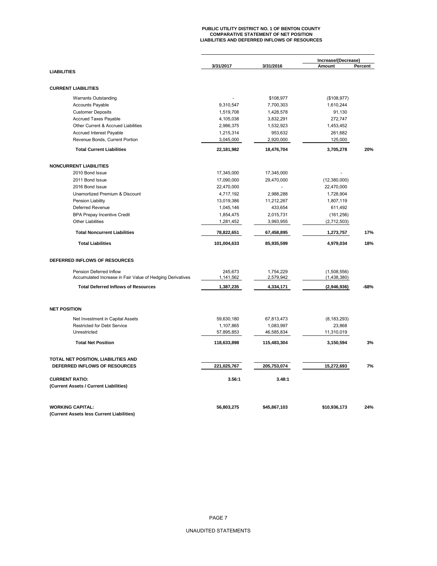# **PUBLIC UTILITY DISTRICT NO. 1 OF BENTON COUNTY COMPARATIVE STATEMENT OF NET POSITION LIABILITIES AND DEFERRED INFLOWS OF RESOURCES**

|                                                           | 3/31/2017   | 3/31/2016    | Increase/(Decrease)<br>Amount<br>Percent |      |  |
|-----------------------------------------------------------|-------------|--------------|------------------------------------------|------|--|
| <b>LIABILITIES</b>                                        |             |              |                                          |      |  |
| <b>CURRENT LIABILITIES</b>                                |             |              |                                          |      |  |
| <b>Warrants Outstanding</b>                               |             | \$108,977    | (\$108,977)                              |      |  |
| <b>Accounts Payable</b>                                   | 9,310,547   | 7,700,303    | 1,610,244                                |      |  |
| <b>Customer Deposits</b>                                  | 1,519,708   | 1,428,578    | 91,130                                   |      |  |
| <b>Accrued Taxes Payable</b>                              | 4,105,038   | 3,832,291    | 272,747                                  |      |  |
| Other Current & Accrued Liabilities                       | 2,986,375   | 1,532,923    | 1,453,452                                |      |  |
| Accrued Interest Payable                                  | 1,215,314   | 953,632      | 261,682                                  |      |  |
| Revenue Bonds, Current Portion                            | 3,045,000   | 2,920,000    | 125,000                                  |      |  |
| <b>Total Current Liabilities</b>                          | 22,181,982  | 18,476,704   | 3,705,278                                | 20%  |  |
| <b>NONCURRENT LIABILITIES</b>                             |             |              |                                          |      |  |
| 2010 Bond Issue                                           | 17,345,000  | 17,345,000   |                                          |      |  |
| 2011 Bond Issue                                           | 17,090,000  | 29,470,000   | (12,380,000)                             |      |  |
| 2016 Bond Issue                                           | 22,470,000  |              | 22,470,000                               |      |  |
| Unamortized Premium & Discount                            | 4,717,192   | 2,988,288    | 1,728,904                                |      |  |
| Pension Liability                                         | 13,019,386  | 11,212,267   | 1,807,119                                |      |  |
| Deferred Revenue                                          | 1,045,146   | 433,654      | 611,492                                  |      |  |
| <b>BPA Prepay Incentive Credit</b>                        | 1,854,475   | 2,015,731    | (161, 256)                               |      |  |
| <b>Other Liabilities</b>                                  | 1,281,452   | 3,993,955    | (2,712,503)                              |      |  |
|                                                           |             |              |                                          |      |  |
| <b>Total Noncurrent Liabilities</b>                       | 78,822,651  | 67,458,895   | 1,273,757                                | 17%  |  |
| <b>Total Liabilities</b>                                  | 101,004,633 | 85,935,599   | 4,979,034                                | 18%  |  |
| DEFERRED INFLOWS OF RESOURCES                             |             |              |                                          |      |  |
| Pension Deferred Inflow                                   | 245,673     | 1,754,229    | (1,508,556)                              |      |  |
| Accumulated Increase in Fair Value of Hedging Derivatives | 1,141,562   | 2,579,942    | (1,438,380)                              |      |  |
| <b>Total Deferred Inflows of Resources</b>                | 1,387,235   | 4,334,171    | (2,946,936)                              | -68% |  |
| <b>NET POSITION</b>                                       |             |              |                                          |      |  |
| Net Investment in Capital Assets                          | 59,630,180  | 67,813,473   | (8, 183, 293)                            |      |  |
| <b>Restricted for Debt Service</b>                        | 1,107,865   | 1,083,997    | 23,868                                   |      |  |
| Unrestricted                                              | 57,895,853  | 46,585,834   | 11,310,019                               |      |  |
| <b>Total Net Position</b>                                 | 118,633,898 | 115,483,304  | 3,150,594                                | 3%   |  |
| TOTAL NET POSITION, LIABILITIES AND                       |             |              |                                          |      |  |
| DEFERRED INFLOWS OF RESOURCES                             | 221,025,767 | 205,753,074  | 15,272,693                               | 7%   |  |
| <b>CURRENT RATIO:</b>                                     | 3.56:1      | 3.48:1       |                                          |      |  |
| (Current Assets / Current Liabilities)                    |             |              |                                          |      |  |
| <b>WORKING CAPITAL:</b>                                   | 56,803,275  | \$45,867,103 | \$10,936,173                             | 24%  |  |
| (Current Assets less Current Liabilities)                 |             |              |                                          |      |  |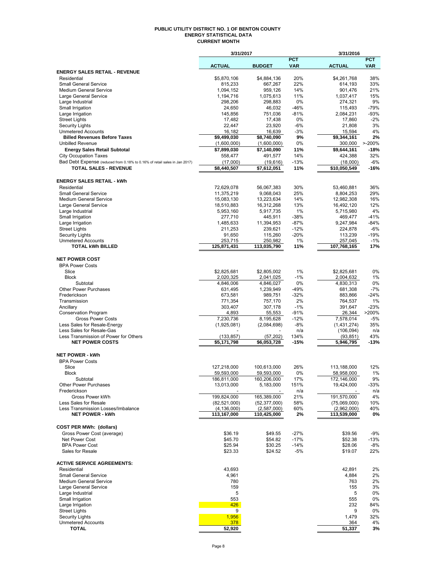#### **PUBLIC UTILITY DISTRICT NO. 1 OF BENTON COUNTY ENERGY STATISTICAL DATA CURRENT MONTH**

|                                                                            | 3/31/2017               |                         |                          | 3/31/2016               |                          |
|----------------------------------------------------------------------------|-------------------------|-------------------------|--------------------------|-------------------------|--------------------------|
|                                                                            | <b>ACTUAL</b>           | <b>BUDGET</b>           | <b>PCT</b><br><b>VAR</b> | <b>ACTUAL</b>           | <b>PCT</b><br><b>VAR</b> |
| ENERGY SALES RETAIL - REVENUE                                              |                         |                         |                          |                         |                          |
| Residential                                                                | \$5,870,106             | \$4,884,136             | 20%                      | \$4,261,768             | 38%                      |
| <b>Small General Service</b>                                               | 815,233                 | 667,267                 | 22%                      | 614,193                 | 33%                      |
| <b>Medium General Service</b><br>Large General Service                     | 1,094,152<br>1,194,716  | 959,126<br>1,075,613    | 14%<br>11%               | 901,476<br>1,037,417    | 21%<br>15%               |
| Large Industrial                                                           | 298,206                 | 298,883                 | 0%                       | 274,321                 | 9%                       |
| Small Irrigation                                                           | 24,650                  | 46,032                  | $-46%$                   | 115,493                 | $-79%$                   |
| Large Irrigation                                                           | 145,856                 | 751,036                 | $-81%$                   | 2,084,231               | $-93%$                   |
| <b>Street Lights</b>                                                       | 17,482                  | 17,438                  | 0%                       | 17,860                  | $-2%$                    |
| <b>Security Lights</b><br><b>Unmetered Accounts</b>                        | 22,447<br>16,182        | 23,920<br>16,639        | -6%<br>$-3%$             | 21,808<br>15,594        | 3%<br>4%                 |
| <b>Billed Revenues Before Taxes</b>                                        | \$9,499,030             | \$8,740,090             | 9%                       | \$9,344,161             | 2%                       |
| <b>Unbilled Revenue</b>                                                    | (1,600,000)             | (1,600,000)             | 0%                       | 300.000                 | $> -200%$                |
| <b>Energy Sales Retail Subtotal</b>                                        | \$7,899,030             | \$7,140,090             | 11%                      | \$9,644,161             | -18%                     |
| <b>City Occupation Taxes</b>                                               | 558,477                 | 491,577                 | 14%                      | 424,388                 | 32%                      |
| Bad Debt Expense (reduced from 0.18% to 0.16% of retail sales in Jan 2017) | (17,000)                | (19,616)                | $-13%$                   | (18,000)                | $-6%$                    |
| <b>TOTAL SALES - REVENUE</b>                                               | \$8,440,507             | \$7,612,051             | 11%                      | \$10,050,549            | $-16%$                   |
| <b>ENERGY SALES RETAIL - kWh</b>                                           |                         |                         |                          |                         |                          |
| Residential                                                                | 72,629,078              | 56,067,383              | 30%                      | 53,460,881              | 36%                      |
| <b>Small General Service</b>                                               | 11,375,219              | 9,068,043               | 25%                      | 8,804,253               | 29%                      |
| <b>Medium General Service</b>                                              | 15,083,130              | 13,223,634              | 14%                      | 12,982,308              | 16%                      |
| Large General Service<br>Large Industrial                                  | 18,510,883<br>5,953,160 | 16,312,268<br>5,917,735 | 13%<br>1%                | 16,492,120<br>5,715,980 | 12%<br>4%                |
| Small Irrigation                                                           | 277,710                 | 445,911                 | $-38%$                   | 469,477                 | $-41%$                   |
| Large Irrigation                                                           | 1,485,633               | 11,394,953              | $-87%$                   | 9,247,984               | $-84%$                   |
| <b>Street Lights</b>                                                       | 211,253                 | 239,621                 | $-12%$                   | 224,878                 | $-6%$                    |
| <b>Security Lights</b>                                                     | 91,650                  | 115,260                 | $-20%$                   | 113,239                 | $-19%$                   |
| <b>Unmetered Accounts</b><br><b>TOTAL kWh BILLED</b>                       | 253,715<br>125,871,431  | 250,982<br>113,035,790  | 1%<br>11%                | 257,045<br>107,768,165  | $-1%$<br>17%             |
|                                                                            |                         |                         |                          |                         |                          |
| <b>NET POWER COST</b>                                                      |                         |                         |                          |                         |                          |
| <b>BPA Power Costs</b>                                                     |                         |                         |                          |                         |                          |
| Slice                                                                      | \$2,825,681             | \$2,805,002             | 1%                       | \$2,825,681             | 0%                       |
| <b>Block</b><br>Subtotal                                                   | 2,020,325<br>4,846,006  | 2,041,025               | $-1%$<br>0%              | 2,004,632<br>4,830,313  | 1%<br>0%                 |
| <b>Other Power Purchases</b>                                               | 631,495                 | 4,846,027<br>1,239,949  | $-49%$                   | 681,308                 | $-7%$                    |
| Frederickson                                                               | 673,581                 | 989,751                 | $-32%$                   | 883,866                 | $-24%$                   |
| Transmission                                                               | 771,354                 | 757,170                 | 2%                       | 764,537                 | 1%                       |
| Ancillary                                                                  | 303,407                 | 307,178                 | $-1%$                    | 391,647                 | $-23%$                   |
| <b>Conservation Program</b><br><b>Gross Power Costs</b>                    | 4,893<br>7,230,736      | 55,553<br>8,195,628     | $-91%$<br>$-12%$         | 26,344<br>7,578,014     | >200%<br>$-5%$           |
| Less Sales for Resale-Energy                                               | (1,925,081)             | (2,084,698)             | -8%                      | (1,431,274)             | 35%                      |
| Less Sales for Resale-Gas                                                  |                         |                         | n/a                      | (106, 094)              | n/a                      |
| Less Transmission of Power for Others                                      | (133, 857)              | (57, 202)               | 134%                     | (93, 851)               | 43%                      |
| <b>NET POWER COSTS</b>                                                     | \$5,171,798             | \$6,053,728             | $-15%$                   | 5,946,795               | -13%                     |
| <b>NET POWER - kWh</b>                                                     |                         |                         |                          |                         |                          |
| <b>BPA Power Costs</b>                                                     |                         |                         |                          |                         |                          |
| Slice                                                                      | 127,218,000             | 100,613,000             | 26%                      | 113,188,000             | 12%                      |
| RIOCK                                                                      | 59,593,000              | 59,593,000              | U%                       | 58,958,000              | 1%                       |
| Subtotal                                                                   | 186,811,000             | 160,206,000             | 17%                      | 172,146,000             | 9%                       |
| Other Power Purchases<br>Frederickson                                      | 13,013,000              | 5,183,000               | 151%<br>n/a              | 19,424,000              | -33%<br>n/a              |
| Gross Power kWh                                                            | 199,824,000             | 165,389,000             | 21%                      | 191.570.000             | 4%                       |
| Less Sales for Resale                                                      | (82, 521, 000)          | (52, 377, 000)          | 58%                      | (75,069,000)            | 10%                      |
| Less Transmission Losses/Imbalance                                         | (4, 136, 000)           | (2,587,000)             | 60%                      | (2,962,000)             | 40%                      |
| <b>NET POWER - kWh</b>                                                     | 113,167,000             | 110,425,000             | 2%                       | 113,539,000             | 0%                       |
| <b>COST PER MWh: (dollars)</b>                                             |                         |                         |                          |                         |                          |
| Gross Power Cost (average)                                                 | \$36.19                 | \$49.55                 | $-27%$                   | \$39.56                 | $-9%$                    |
| Net Power Cost                                                             | \$45.70                 | \$54.82                 | $-17%$                   | \$52.38                 | $-13%$                   |
| <b>BPA Power Cost</b>                                                      | \$25.94                 | \$30.25                 | $-14%$                   | \$28.06                 | $-8%$                    |
| Sales for Resale                                                           | \$23.33                 | \$24.52                 | -5%                      | \$19.07                 | 22%                      |
| <b>ACTIVE SERVICE AGREEMENTS:</b>                                          |                         |                         |                          |                         |                          |
| Residential                                                                | 43,693                  |                         |                          | 42,891                  | 2%                       |
| <b>Small General Service</b>                                               | 4,961                   |                         |                          | 4,884                   | 2%                       |
| <b>Medium General Service</b>                                              | 780                     |                         |                          | 763                     | 2%                       |
| Large General Service                                                      | 159                     |                         |                          | 155                     | 3%                       |
| Large Industrial                                                           | 5                       |                         |                          | 5                       | 0%                       |
| Small Irrigation<br>Large Irrigation                                       | 553<br>426              |                         |                          | 555<br>232              | 0%<br>84%                |
| <b>Street Lights</b>                                                       | 9                       |                         |                          | 9                       | 0%                       |
| <b>Security Lights</b>                                                     | 1,956                   |                         |                          | 1,479                   | 32%                      |
| <b>Unmetered Accounts</b>                                                  | 378                     |                         |                          | 364                     | 4%                       |
| TOTAL                                                                      | 52,920                  |                         |                          | 51,337                  | 3%                       |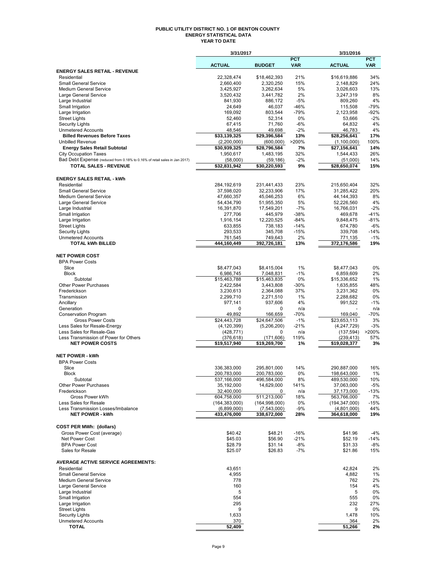#### **PUBLIC UTILITY DISTRICT NO. 1 OF BENTON COUNTY ENERGY STATISTICAL DATA YEAR TO DATE**

|                                                                                                            | 3/31/2017                     |                             |                          | 3/31/2016                     |                          |
|------------------------------------------------------------------------------------------------------------|-------------------------------|-----------------------------|--------------------------|-------------------------------|--------------------------|
|                                                                                                            | <b>ACTUAL</b>                 | <b>BUDGET</b>               | <b>PCT</b><br><b>VAR</b> | <b>ACTUAL</b>                 | <b>PCT</b><br><b>VAR</b> |
| <b>ENERGY SALES RETAIL - REVENUE</b>                                                                       |                               |                             |                          |                               |                          |
| Residential                                                                                                | 22,328,474                    | \$18,462,393                | 21%                      | \$16,619,886                  | 34%                      |
| <b>Small General Service</b><br><b>Medium General Service</b>                                              | 2,660,400<br>3,425,927        | 2,320,250<br>3,262,634      | 15%<br>5%                | 2,148,829<br>3,026,603        | 24%<br>13%               |
| Large General Service                                                                                      | 3,520,432                     | 3,441,782                   | 2%                       | 3,247,319                     | 8%                       |
| Large Industrial                                                                                           | 841,930                       | 886,172                     | $-5%$                    | 809.260                       | 4%                       |
| Small Irrigation                                                                                           | 24,649                        | 46,037                      | $-46%$                   | 115,508                       | $-79%$                   |
| Large Irrigation                                                                                           | 169,092                       | 803,544                     | $-79%$                   | 2,123,958                     | $-92%$                   |
| <b>Street Lights</b><br><b>Security Lights</b>                                                             | 52,460<br>67,415              | 52,314<br>71,760            | 0%<br>$-6%$              | 53,666<br>64.832              | $-2%$<br>4%              |
| <b>Unmetered Accounts</b>                                                                                  | 48,546                        | 49,698                      | $-2%$                    | 46,783                        | 4%                       |
| <b>Billed Revenues Before Taxes</b>                                                                        | \$33,139,325                  | \$29,396,584                | 13%                      | \$28,256,641                  | 17%                      |
| <b>Unbilled Revenue</b>                                                                                    | (2,200,000)                   | (600,000)                   | >200%                    | (1,100,000)                   | 100%                     |
| <b>Energy Sales Retail Subtotal</b>                                                                        | \$30,939,325                  | \$28,796,584                | 7%                       | \$27,156,641                  | 14%                      |
| <b>City Occupation Taxes</b>                                                                               | 1,950,617                     | 1,483,195                   | 32%                      | 1,544,433                     | 26%                      |
| Bad Debt Expense (reduced from 0.18% to 0.16% of retail sales in Jan 2017)<br><b>TOTAL SALES - REVENUE</b> | (58,000)<br>\$32,831,942      | (59, 186)<br>\$30,220,593   | $-2%$<br>9%              | (51,000)<br>\$28,650,074      | 14%<br>15%               |
|                                                                                                            |                               |                             |                          |                               |                          |
| <b>ENERGY SALES RETAIL - kWh</b>                                                                           |                               |                             |                          |                               |                          |
| Residential                                                                                                | 284, 192, 619                 | 231,441,433                 | 23%                      | 215,650,404                   | 32%                      |
| <b>Small General Service</b>                                                                               | 37,598,020                    | 32,233,906                  | 17%                      | 31,285,422                    | 20%                      |
| <b>Medium General Service</b><br>Large General Service                                                     | 47,660,357<br>54.434.790      | 45,046,253                  | 6%<br>5%                 | 44,144,393                    | 8%<br>4%                 |
| Large Industrial                                                                                           | 16,391,870                    | 51,955,350<br>17,549,201    | -7%                      | 52,226,560<br>16,766,031      | $-2%$                    |
| Small Irrigation                                                                                           | 277,706                       | 445,979                     | $-38%$                   | 469.678                       | $-41%$                   |
| Large Irrigation                                                                                           | 1,916,154                     | 12,220,525                  | $-84%$                   | 9,848,475                     | $-81%$                   |
| <b>Street Lights</b>                                                                                       | 633,855                       | 738,183                     | $-14%$                   | 674,780                       | $-6%$                    |
| <b>Security Lights</b>                                                                                     | 293,533                       | 345,708                     | $-15%$                   | 339,708                       | $-14%$                   |
| <b>Unmetered Accounts</b><br><b>TOTAL kWh BILLED</b>                                                       | 761,545<br>444,160,449        | 749,643<br>392,726,181      | 2%<br>13%                | 771,135<br>372,176,586        | $-1%$<br>19%             |
|                                                                                                            |                               |                             |                          |                               |                          |
| <b>NET POWER COST</b>                                                                                      |                               |                             |                          |                               |                          |
| <b>BPA Power Costs</b>                                                                                     |                               |                             |                          |                               |                          |
| Slice                                                                                                      | \$8,477,043                   | \$8,415,004                 | $1\%$                    | \$8,477,043                   | 0%                       |
| <b>Block</b>                                                                                               | 6,986,745                     | 7,048,831                   | $-1%$                    | 6,859,609                     | 2%                       |
| Subtotal<br><b>Other Power Purchases</b>                                                                   | \$15,463,788<br>2,422,584     | \$15,463,835<br>3,443,808   | 0%<br>$-30%$             | \$15,336,652<br>1,635,855     | 1%<br>48%                |
| Frederickson                                                                                               | 3,230,613                     | 2,364,088                   | 37%                      | 3,231,362                     | 0%                       |
| Transmission                                                                                               | 2,299,710                     | 2,271,510                   | 1%                       | 2,288,682                     | 0%                       |
| Ancillary                                                                                                  | 977,141                       | 937,606                     | 4%                       | 991,522                       | $-1%$                    |
| Generation                                                                                                 | 0                             | 0                           | n/a                      |                               | n/a                      |
| <b>Conservation Program</b>                                                                                | 49,892                        | 166,659                     | -70%                     | 169,040                       | $-70%$                   |
| <b>Gross Power Costs</b><br>Less Sales for Resale-Energy                                                   | \$24,443,728<br>(4, 120, 399) | \$24,647,506<br>(5,206,200) | $-1%$<br>$-21%$          | \$23,653,113<br>(4, 247, 729) | 3%<br>$-3%$              |
| Less Sales for Resale-Gas                                                                                  | (428, 771)                    | 0                           | n/a                      | (137, 594)                    | >200%                    |
| Less Transmission of Power for Others                                                                      | (376, 618)                    | (171, 606)                  | 119%                     | (239, 413)                    | 57%                      |
| <b>NET POWER COSTS</b>                                                                                     | \$19,517,940                  | \$19,269,700                | 1%                       | \$19,028,377                  | 3%                       |
| <b>NET POWER - kWh</b>                                                                                     |                               |                             |                          |                               |                          |
| <b>BPA Power Costs</b>                                                                                     |                               |                             |                          |                               |                          |
| Slice                                                                                                      | 336,383,000                   | 295,801,000                 | 14%                      | 290.887.000                   | 16%                      |
| <b>Block</b>                                                                                               | 200,783,000                   | 200,783,000                 | $0\%$                    | 198,643,000                   | $1\%$                    |
| Subtotal                                                                                                   | 537,166,000                   | 496,584,000                 | 8%                       | 489,530,000                   | 10%                      |
| Other Power Purchases                                                                                      | 35,192,000                    | 14,629,000                  | 141%                     | 37,063,000                    | -5%                      |
| Frederickson<br>Gross Power kWh                                                                            | 32,400,000<br>604,758,000     | 0<br>511,213,000            | n/a<br>18%               | 37,173,000<br>563,766,000     | -13%<br>7%               |
| Less Sales for Resale                                                                                      | (164, 383, 000)               | (164, 998, 000)             | 0%                       | (194, 347, 000)               | $-15%$                   |
| Less Transmission Losses/Imbalance                                                                         | (6,899,000)                   | (7,543,000)                 | $-9%$                    | (4,801,000)                   | 44%                      |
| <b>NET POWER - kWh</b>                                                                                     | 433.476.000                   | 338,672,000                 | 28%                      | 364,618,000                   | 19%                      |
|                                                                                                            |                               |                             |                          |                               |                          |
| <b>COST PER MWh: (dollars)</b>                                                                             |                               |                             |                          |                               |                          |
| Gross Power Cost (average)<br><b>Net Power Cost</b>                                                        | \$40.42<br>\$45.03            | \$48.21<br>\$56.90          | $-16%$<br>$-21%$         | \$41.96<br>\$52.19            | $-4%$<br>$-14%$          |
| <b>BPA Power Cost</b>                                                                                      | \$28.79                       | \$31.14                     | $-8%$                    | \$31.33                       | -8%                      |
| Sales for Resale                                                                                           | \$25.07                       | \$26.83                     | -7%                      | \$21.86                       | 15%                      |
|                                                                                                            |                               |                             |                          |                               |                          |
| <b>AVERAGE ACTIVE SERVICE AGREEMENTS:</b>                                                                  |                               |                             |                          |                               |                          |
| Residential<br><b>Small General Service</b>                                                                | 43,651<br>4,955               |                             |                          | 42,824<br>4,882               | 2%<br>1%                 |
| <b>Medium General Service</b>                                                                              | 778                           |                             |                          | 762                           | 2%                       |
| Large General Service                                                                                      | 160                           |                             |                          | 154                           | 4%                       |
| Large Industrial                                                                                           | 5                             |                             |                          | 5                             | 0%                       |
| Small Irrigation                                                                                           | 554                           |                             |                          | 555                           | 0%                       |
| Large Irrigation                                                                                           | 295                           |                             |                          | 232                           | 27%                      |
| <b>Street Lights</b><br><b>Security Lights</b>                                                             | 9<br>1,633                    |                             |                          | 9<br>1,478                    | 0%<br>10%                |
| <b>Unmetered Accounts</b>                                                                                  | 370                           |                             |                          | 364                           | 2%                       |
| <b>TOTAL</b>                                                                                               | 52,409                        |                             |                          | 51,266                        | 2%                       |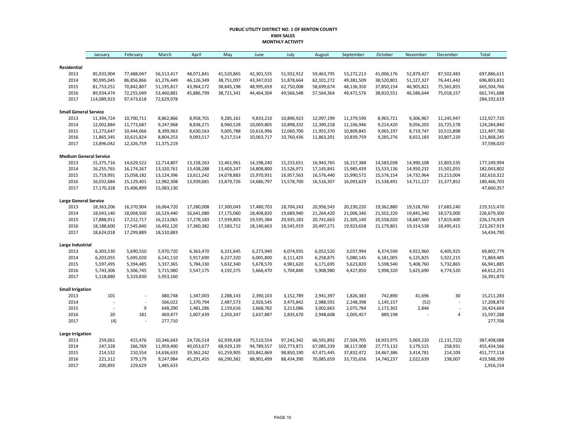#### **PUBLIC UTILITY DISTRICT NO. 1 OF BENTON COUNTY KWH SALES MONTHLY ACTIVITY**

|                               | January                  | February   | March      | April      | May        | June        | July        | August     | September  | October    | November   | December                     | Total       |
|-------------------------------|--------------------------|------------|------------|------------|------------|-------------|-------------|------------|------------|------------|------------|------------------------------|-------------|
|                               |                          |            |            |            |            |             |             |            |            |            |            |                              |             |
| Residential<br>2013           | 85,933,904               | 77,488,047 | 56,513,417 | 48,071,841 | 41,520,865 | 42,301,535  | 51,932,912  | 59,463,795 | 53,272,213 | 41,006,176 | 52,879,427 | 87,502,483                   | 697,886,615 |
| 2014                          | 90,995,045               | 86,856,866 | 61,276,449 | 46,126,349 | 38,751,097 | 43,347,010  | 51,878,664  | 62,101,272 | 49,381,509 | 38,520,801 | 51,127,327 | 76,441,442                   | 696,803,831 |
| 2015                          | 81,753,251               | 70,842,807 | 51,195,817 | 43,964,172 | 38,845,198 | 48,995,659  | 62,750,008  | 58,699,674 | 48,136,350 | 37,850,154 | 46,905,821 | 75,565,855                   | 665,504,766 |
| 2016                          | 89,934,474               | 72,255,049 | 53,460,881 | 45,886,799 | 38,721,341 | 44,464,304  | 49,566,548  | 57,564,364 | 49,472,576 | 38,810,551 | 46,586,644 | 75,018,157                   | 661,741,688 |
| 2017                          | 114,089,923              | 97,473,618 | 72,629,078 |            |            |             |             |            |            |            |            |                              | 284,192,619 |
| <b>Small General Service</b>  |                          |            |            |            |            |             |             |            |            |            |            |                              |             |
| 2013                          | 11,394,724               | 10,700,711 | 8,862,866  | 8,958,701  | 9,285,161  | 9,833,210   | 10,896,923  | 12,097,199 | 11,379,590 | 8,965,721  | 9,306,967  | 11,245,947                   | 122,927,720 |
| 2014                          | 12,002,884               | 11,773,687 | 9,247,968  | 8,838,271  | 8,960,528  | 10,069,805  | 10,898,332  | 12,390,218 | 11,106,946 | 9,214,420  | 9,056,203  | 10,725,578                   | 124,284,840 |
| 2015                          | 11,273,647               | 10,444,066 | 8,399,963  | 8,630,563  | 9,005,788  | 10,616,996  | 12,060,700  | 11,955,370 | 10,809,845 | 9,065,197  | 8,719,747  | 10,515,898                   | 121,497,780 |
| 2016                          | 11,865,345               | 10,615,824 | 8,804,253  | 9,093,517  | 9,217,514  | 10,063,717  | 10,760,436  | 11,863,201 | 10,839,759 | 9,285,276  | 8,652,183  | 10,807,220                   | 121,868,245 |
| 2017                          | 13,896,042               | 12,326,759 | 11,375,219 |            |            |             |             |            |            |            |            |                              | 37,598,020  |
| <b>Medium General Service</b> |                          |            |            |            |            |             |             |            |            |            |            |                              |             |
| 2013                          | 15,375,716               | 14,629,522 | 12,714,807 | 13,158,263 | 13,461,961 | 14,198,240  | 15,233,651  | 16,943,765 | 16,157,388 | 14,583,038 | 14,990,108 | 15,803,535                   | 177,249,994 |
| 2014                          | 16,255,765               | 16,174,267 | 13,320,761 | 13,438,288 | 13,403,247 | 14,808,800  | 15,526,971  | 17,145,841 | 15,985,439 | 15,533,136 | 14,950,232 | 15,501,055                   | 182,043,802 |
| 2015                          | 15,719,991               | 15,058,182 | 13,124,396 | 13,611,242 | 14,078,883 | 15,970,931  | 16,957,563  | 16,576,440 | 15,990,572 | 15,576,154 | 14,732,964 | 15,213,004                   | 182,610,322 |
| 2016                          | 16,032,684               | 15,129,401 | 12,982,308 | 13,939,681 | 13,879,726 | 14,686,797  | 15,578,700  | 16,516,307 | 16,093,629 | 15,538,491 | 14,711,127 | 15,377,852                   | 180,466,703 |
| 2017                          | 17,170,328               | 15,406,899 | 15,083,130 |            |            |             |             |            |            |            |            |                              | 47,660,357  |
| <b>Large General Service</b>  |                          |            |            |            |            |             |             |            |            |            |            |                              |             |
| 2013                          | 18,363,206               | 16,370,904 | 16,064,720 | 17,280,008 | 17,300,043 | 17,480,703  | 18,704,243  | 20,956,543 | 20,230,220 | 19,362,880 | 19,518,760 | 17,683,240                   | 219,315,470 |
| 2014                          | 18,043,140               | 18,004,500 | 16,529,440 | 16,641,080 | 17,175,060 | 18,408,820  | 19,689,940  | 21,264,420 | 21,006,340 | 21,502,220 | 19,841,340 | 18,573,000                   | 226,679,300 |
| 2015                          | 17,888,911               | 17,212,717 | 16,213,065 | 17,278,183 | 17,939,803 | 19,595,384  | 20,935,183  | 20,741,663 | 21,305,140 | 20,558,020 | 18,687,460 | 17,819,400                   | 226,174,929 |
| 2016                          | 18,188,600               | 17,545,840 | 16,492,120 | 17,360,382 | 17,583,712 | 18,140,663  | 18,545,919  | 20,497,271 | 19,923,658 | 21,179,801 | 19,314,538 | 18,495,415                   | 223,267,919 |
| 2017                          | 18,624,018               | 17,299,889 | 18,510,883 |            |            |             |             |            |            |            |            |                              | 54,434,790  |
| Large Industrial              |                          |            |            |            |            |             |             |            |            |            |            |                              |             |
| 2013                          | 6,303,530                | 5,690,550  | 5,970,720  | 6,363,470  | 6,331,645  | 6,273,940   | 6,074,935   | 6,052,520  | 3,037,994  | 6,374,590  | 4,922,960  | 6,405,925                    | 69,802,779  |
| 2014                          | 6,203,055                | 5,695,020  | 6,141,110  | 5,917,690  | 6,227,320  | 6,005,800   | 6,111,425   | 6,258,875  | 5,080,145  | 6,181,005  | 6,125,825  | 5,922,215                    | 71,869,485  |
| 2015                          | 5,597,495                | 5,394,485  | 5,337,365  | 5,784,330  | 5,632,340  | 5,678,570   | 4,981,620   | 6,171,695  | 5,623,820  | 5,598,540  | 5,408,760  | 5,732,865                    | 66,941,885  |
| 2016                          | 5,743,306                | 5,306,745  | 5,715,980  | 5,547,175  | 4,192,375  | 5,666,470   | 5,704,840   | 5,908,980  | 4,427,850  | 5,998,320  | 5,625,690  | 4,774,520                    | 64,612,251  |
| 2017                          | 5,118,880                | 5,319,830  | 5,953,160  |            |            |             |             |            |            |            |            |                              | 16,391,870  |
| <b>Small Irrigation</b>       |                          |            |            |            |            |             |             |            |            |            |            |                              |             |
| 2013                          | 101                      |            | 480,748    | 1,347,003  | 2,288,143  | 2,390,103   | 3,152,789   | 2,941,397  | 1,826,383  | 742,890    | 41,696     | 30                           | 15,211,283  |
| 2014                          |                          |            | 566,022    | 1,370,794  | 2,487,573  | 2,926,545   | 3,475,842   | 2,988,591  | 2,248,398  | 1,145,157  | (52)       |                              | 17,208,870  |
| 2015                          | $\overline{\phantom{a}}$ | 9          | 648,290    | 1,481,286  | 2,159,616  | 2,668,782   | 3,213,086   | 3,002,663  | 2,075,784  | 1,172,302  | 2,846      | $\qquad \qquad \blacksquare$ | 16,424,664  |
| 2016                          | 20                       | 181        | 469,477    | 1,607,439  | 2,203,347  | 2,637,887   | 2,835,670   | 2,948,608  | 2,005,457  | 889,198    |            | 4                            | 15,597,288  |
| 2017                          | (4)                      | $\sim$     | 277,710    |            |            |             |             |            |            |            |            |                              | 277,706     |
| <b>Large Irrigation</b>       |                          |            |            |            |            |             |             |            |            |            |            |                              |             |
| 2013                          | 259,061                  | 415,476    | 10,346,643 | 24,726,514 | 62,939,428 | 75,510,554  | 97,242,342  | 66,591,892 | 27,504,705 | 18,933,975 | 5,069,220  | (2, 131, 722)                | 387,408,088 |
| 2014                          | 247,328                  | 266,769    | 11,959,400 | 40,053,677 | 68,929,139 | 94,789,557  | 102,773,871 | 67,085,339 | 38,117,908 | 27,773,132 | 3,179,515  | 258,931                      | 455,434,566 |
| 2015                          | 214,532                  | 210,554    | 14,636,633 | 39,362,242 | 61,259,905 | 103,842,869 | 98,850,190  | 67,471,445 | 37,832,472 | 24,467,386 | 3,414,781  | 214,109                      | 451,777,118 |
| 2016                          | 221,312                  | 379,179    | 9,247,984  | 45,291,455 | 66,290,382 | 88,901,499  | 88,434,390  | 70,085,659 | 33,735,656 | 14,740,237 | 2,022,639  | 238,007                      | 419,588,399 |
| 2017                          | 200,892                  | 229,629    | 1,485,633  |            |            |             |             |            |            |            |            |                              | 1,916,154   |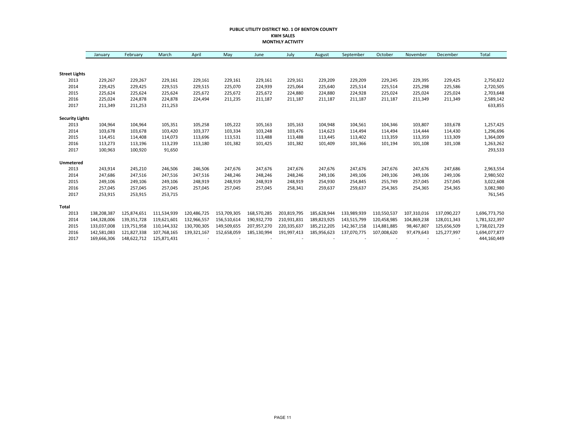#### **PUBLIC UTILITY DISTRICT NO. 1 OF BENTON COUNTY KWH SALES MONTHLY ACTIVITY**

|                        | January     | February    | March       | April       | May         | June        | July        | August      | September   | October     | November    | December    | Total         |
|------------------------|-------------|-------------|-------------|-------------|-------------|-------------|-------------|-------------|-------------|-------------|-------------|-------------|---------------|
|                        |             |             |             |             |             |             |             |             |             |             |             |             |               |
| <b>Street Lights</b>   |             |             |             |             |             |             |             |             |             |             |             |             |               |
| 2013                   | 229,267     | 229,267     | 229,161     | 229,161     | 229,161     | 229,161     | 229,161     | 229,209     | 229,209     | 229,245     | 229,395     | 229,425     | 2,750,822     |
| 2014                   | 229,425     | 229,425     | 229,515     | 229,515     | 225,070     | 224,939     | 225,064     | 225,640     | 225,514     | 225,514     | 225,298     | 225,586     | 2,720,505     |
| 2015                   | 225,624     | 225,624     | 225,624     | 225,672     | 225,672     | 225,672     | 224,880     | 224,880     | 224,928     | 225,024     | 225,024     | 225,024     | 2,703,648     |
| 2016                   | 225,024     | 224,878     | 224,878     | 224,494     | 211,235     | 211,187     | 211,187     | 211,187     | 211,187     | 211,187     | 211,349     | 211,349     | 2,589,142     |
| 2017                   | 211,349     | 211,253     | 211,253     |             |             |             |             |             |             |             |             |             | 633,855       |
| <b>Security Lights</b> |             |             |             |             |             |             |             |             |             |             |             |             |               |
| 2013                   | 104,964     | 104,964     | 105,351     | 105,258     | 105,222     | 105,163     | 105,163     | 104,948     | 104,561     | 104,346     | 103,807     | 103,678     | 1,257,425     |
| 2014                   | 103,678     | 103,678     | 103,420     | 103,377     | 103,334     | 103,248     | 103,476     | 114,623     | 114,494     | 114,494     | 114,444     | 114,430     | 1,296,696     |
| 2015                   | 114,451     | 114,408     | 114,073     | 113,696     | 113,531     | 113,488     | 113,488     | 113,445     | 113,402     | 113,359     | 113,359     | 113,309     | 1,364,009     |
| 2016                   | 113,273     | 113,196     | 113,239     | 113,180     | 101,382     | 101,425     | 101,382     | 101,409     | 101,366     | 101,194     | 101,108     | 101,108     | 1,263,262     |
| 2017                   | 100,963     | 100,920     | 91,650      |             |             |             |             |             |             |             |             |             | 293,533       |
| Unmetered              |             |             |             |             |             |             |             |             |             |             |             |             |               |
| 2013                   | 243,914     | 245,210     | 246,506     | 246,506     | 247,676     | 247,676     | 247,676     | 247,676     | 247,676     | 247,676     | 247,676     | 247,686     | 2,963,554     |
| 2014                   | 247,686     | 247,516     | 247,516     | 247,516     | 248,246     | 248,246     | 248,246     | 249,106     | 249,106     | 249,106     | 249,106     | 249,106     | 2,980,502     |
| 2015                   | 249,106     | 249,106     | 249,106     | 248,919     | 248,919     | 248,919     | 248,919     | 254,930     | 254,845     | 255,749     | 257,045     | 257,045     | 3,022,608     |
| 2016                   | 257,045     | 257,045     | 257,045     | 257,045     | 257,045     | 257,045     | 258,341     | 259,637     | 259,637     | 254,365     | 254,365     | 254,365     | 3,082,980     |
| 2017                   | 253,915     | 253,915     | 253,715     |             |             |             |             |             |             |             |             |             | 761,545       |
| <b>Total</b>           |             |             |             |             |             |             |             |             |             |             |             |             |               |
| 2013                   | 138,208,387 | 125,874,651 | 111,534,939 | 120,486,725 | 153,709,305 | 168,570,285 | 203,819,795 | 185,628,944 | 133,989,939 | 110,550,537 | 107,310,016 | 137,090,227 | 1,696,773,750 |
| 2014                   | 144,328,006 | 139,351,728 | 119,621,601 | 132,966,557 | 156,510,614 | 190,932,770 | 210,931,831 | 189,823,925 | 143,515,799 | 120,458,985 | 104,869,238 | 128,011,343 | 1,781,322,397 |
| 2015                   | 133,037,008 | 119,751,958 | 110,144,332 | 130,700,305 | 149,509,655 | 207,957,270 | 220,335,637 | 185,212,205 | 142,367,158 | 114,881,885 | 98,467,807  | 125,656,509 | 1,738,021,729 |
| 2016                   | 142,581,083 | 121,827,338 | 107,768,165 | 139,321,167 | 152,658,059 | 185,130,994 | 191,997,413 | 185,956,623 | 137,070,775 | 107,008,620 | 97,479,643  | 125,277,997 | 1,694,077,877 |
| 2017                   | 169,666,306 | 148,622,712 | 125,871,431 |             |             |             |             |             |             |             |             |             | 444,160,449   |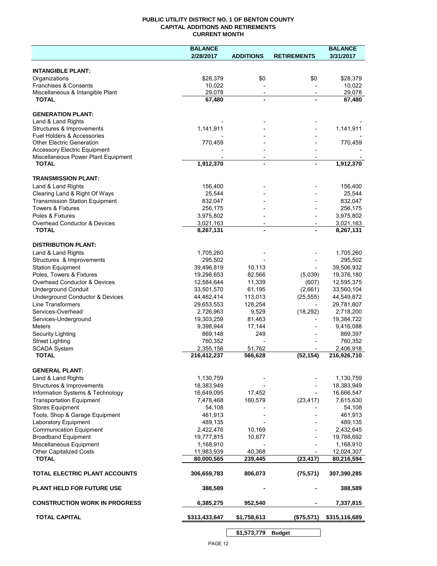### **PUBLIC UTILITY DISTRICT NO. 1 OF BENTON COUNTY CAPITAL ADDITIONS AND RETIREMENTS CURRENT MONTH**

|                                                                            | <b>BALANCE</b>           |                          |                          | <b>BALANCE</b>           |
|----------------------------------------------------------------------------|--------------------------|--------------------------|--------------------------|--------------------------|
|                                                                            | 2/28/2017                | <b>ADDITIONS</b>         | <b>RETIREMENTS</b>       | 3/31/2017                |
| <b>INTANGIBLE PLANT:</b>                                                   |                          |                          |                          |                          |
| Organizations                                                              | \$28,379                 | \$0                      | \$0                      | \$28,379                 |
| Franchises & Consents                                                      | 10,022                   |                          |                          | 10,022                   |
| Miscellaneous & Intangible Plant                                           | 29,078                   | $\overline{\phantom{a}}$ | $\overline{\phantom{a}}$ | 29,078                   |
| <b>TOTAL</b>                                                               | 67,480                   | $\blacksquare$           |                          | 67,480                   |
| <b>GENERATION PLANT:</b>                                                   |                          |                          |                          |                          |
| Land & Land Rights                                                         |                          |                          |                          |                          |
| Structures & Improvements                                                  | 1,141,911                |                          |                          | 1,141,911                |
| <b>Fuel Holders &amp; Accessories</b>                                      |                          |                          |                          |                          |
| <b>Other Electric Generation</b>                                           | 770,459                  |                          |                          | 770,459                  |
| <b>Accessory Electric Equipment</b><br>Miscellaneous Power Plant Equipment |                          | $\overline{\phantom{a}}$ |                          |                          |
| <b>TOTAL</b>                                                               | 1,912,370                | $\blacksquare$           |                          | 1,912,370                |
|                                                                            |                          |                          |                          |                          |
| <b>TRANSMISSION PLANT:</b>                                                 |                          |                          |                          |                          |
| Land & Land Rights                                                         | 156,400                  |                          |                          | 156,400                  |
| Clearing Land & Right Of Ways<br><b>Transmission Station Equipment</b>     | 25,544<br>832,047        |                          |                          | 25,544<br>832,047        |
| <b>Towers &amp; Fixtures</b>                                               | 256,175                  |                          |                          | 256,175                  |
| Poles & Fixtures                                                           | 3,975,802                |                          |                          | 3,975,802                |
| Overhead Conductor & Devices                                               | 3,021,163                |                          |                          | 3,021,163                |
| <b>TOTAL</b>                                                               | 8,267,131                |                          |                          | 8,267,131                |
|                                                                            |                          |                          |                          |                          |
| <b>DISTRIBUTION PLANT:</b><br>Land & Land Rights                           | 1,705,260                |                          |                          | 1,705,260                |
| Structures & Improvements                                                  | 295,502                  |                          |                          | 295,502                  |
| <b>Station Equipment</b>                                                   | 39,496,819               | 10,113                   |                          | 39,506,932               |
| Poles, Towers & Fixtures                                                   | 19,298,653               | 82,566                   | (5,039)                  | 19,376,180               |
| Overhead Conductor & Devices                                               | 12,584,644               | 11,339                   | (607)                    | 12,595,375               |
| <b>Underground Conduit</b>                                                 | 33,501,570               | 61,195                   | (2,661)                  | 33,560,104               |
| Underground Conductor & Devices                                            | 44,462,414               | 113,013                  | (25, 555)                | 44,549,872               |
| <b>Line Transformers</b>                                                   | 29,653,553               | 128,254                  |                          | 29,781,807               |
| Services-Overhead                                                          | 2,726,963                | 9,529                    | (18, 292)                | 2,718,200                |
| Services-Underground<br><b>Meters</b>                                      | 19,303,259<br>9,398,944  | 81,463                   |                          | 19,384,722               |
| Security Lighting                                                          | 869,148                  | 17,144<br>249            |                          | 9,416,088<br>869,397     |
| <b>Street Lighting</b>                                                     | 760,352                  |                          |                          | 760,352                  |
| <b>SCADA System</b>                                                        | 2,355,156                | 51,762                   |                          | 2,406,918                |
| <b>TOTAL</b>                                                               | 216,412,237              | 566,628                  | (52, 154)                | 216,926,710              |
|                                                                            |                          |                          |                          |                          |
| <b>GENERAL PLANT:</b><br>Land & Land Rights                                | 1,130,759                |                          |                          | 1,130,759                |
| Structures & Improvements                                                  | 18,383,949               |                          |                          | 18,383,949               |
| Information Systems & Technology                                           | 16,649,095               | 17,452                   |                          | 16,666,547               |
| <b>Transportation Equipment</b>                                            | 7,478,468                | 160,579                  | (23, 417)                | 7,615,630                |
| <b>Stores Equipment</b>                                                    | 54,108                   |                          |                          | 54,108                   |
| Tools, Shop & Garage Equipment                                             | 461,913                  |                          |                          | 461,913                  |
| Laboratory Equipment                                                       | 489,135                  |                          |                          | 489,135                  |
| <b>Communication Equipment</b>                                             | 2,422,476                | 10,169                   |                          | 2,432,645                |
| <b>Broadband Equipment</b>                                                 | 19,777,815               | 10,877                   |                          | 19,788,692               |
| Miscellaneous Equipment                                                    | 1,168,910                |                          |                          | 1,168,910                |
| <b>Other Capitalized Costs</b><br><b>TOTAL</b>                             | 11,983,939<br>80,000,565 | 40,368<br>239,445        | (23, 417)                | 12,024,307<br>80,216,594 |
|                                                                            |                          |                          |                          |                          |
| TOTAL ELECTRIC PLANT ACCOUNTS                                              | 306,659,783              | 806,073                  | (75, 571)                | 307,390,285              |
| <b>PLANT HELD FOR FUTURE USE</b>                                           | 388,589                  |                          |                          | 388,589                  |
| <b>CONSTRUCTION WORK IN PROGRESS</b>                                       | 6,385,275                | 952,540                  |                          | 7,337,815                |
| <b>TOTAL CAPITAL</b>                                                       | \$313,433,647            | \$1,758,613              | (\$75,571)               | \$315,116,689            |
|                                                                            |                          |                          |                          |                          |

**\$1,573,779 Budget**

 $\overline{\phantom{a}}$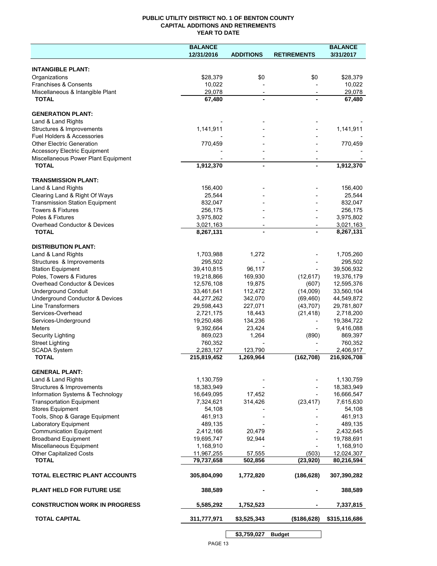## **PUBLIC UTILITY DISTRICT NO. 1 OF BENTON COUNTY CAPITAL ADDITIONS AND RETIREMENTS YEAR TO DATE**

|                                                     | <b>BALANCE</b> |                          |                    | <b>BALANCE</b> |
|-----------------------------------------------------|----------------|--------------------------|--------------------|----------------|
|                                                     | 12/31/2016     | <b>ADDITIONS</b>         | <b>RETIREMENTS</b> | 3/31/2017      |
|                                                     |                |                          |                    |                |
| <b>INTANGIBLE PLANT:</b>                            |                |                          |                    |                |
| Organizations                                       | \$28,379       | \$0                      | \$0                | \$28,379       |
| Franchises & Consents                               | 10,022         |                          |                    | 10,022         |
| Miscellaneous & Intangible Plant                    | 29,078         | $\overline{\phantom{a}}$ |                    | 29,078         |
| <b>TOTAL</b>                                        | 67,480         |                          |                    | 67,480         |
|                                                     |                |                          |                    |                |
| <b>GENERATION PLANT:</b>                            |                |                          |                    |                |
| Land & Land Rights                                  |                |                          |                    |                |
| Structures & Improvements                           | 1,141,911      |                          |                    | 1,141,911      |
| <b>Fuel Holders &amp; Accessories</b>               |                |                          |                    |                |
| <b>Other Electric Generation</b>                    | 770,459        |                          |                    | 770,459        |
| <b>Accessory Electric Equipment</b>                 |                |                          |                    |                |
| Miscellaneous Power Plant Equipment<br><b>TOTAL</b> | 1,912,370      |                          | $\blacksquare$     | 1,912,370      |
|                                                     |                |                          |                    |                |
| <b>TRANSMISSION PLANT:</b>                          |                |                          |                    |                |
| Land & Land Rights                                  | 156,400        |                          |                    | 156,400        |
| Clearing Land & Right Of Ways                       | 25,544         |                          |                    | 25,544         |
| <b>Transmission Station Equipment</b>               | 832,047        |                          |                    | 832,047        |
| <b>Towers &amp; Fixtures</b>                        | 256,175        |                          |                    | 256,175        |
| Poles & Fixtures                                    | 3,975,802      |                          |                    | 3,975,802      |
| Overhead Conductor & Devices                        | 3,021,163      | $\overline{\phantom{a}}$ |                    | 3,021,163      |
| <b>TOTAL</b>                                        | 8,267,131      |                          |                    | 8,267,131      |
|                                                     |                |                          |                    |                |
| <b>DISTRIBUTION PLANT:</b>                          |                |                          |                    |                |
| Land & Land Rights                                  | 1,703,988      | 1,272                    |                    | 1,705,260      |
| Structures & Improvements                           | 295,502        |                          |                    | 295,502        |
| <b>Station Equipment</b>                            | 39,410,815     | 96,117                   |                    | 39,506,932     |
| Poles, Towers & Fixtures                            | 19,218,866     | 169,930                  | (12, 617)          | 19,376,179     |
| Overhead Conductor & Devices                        | 12,576,108     | 19,875                   | (607)              | 12,595,376     |
| <b>Underground Conduit</b>                          | 33,461,641     | 112,472                  | (14,009)           | 33,560,104     |
| Underground Conductor & Devices                     | 44,277,262     | 342,070                  | (69, 460)          | 44,549,872     |
| Line Transformers                                   | 29,598,443     | 227,071                  | (43, 707)          | 29,781,807     |
| Services-Overhead                                   | 2,721,175      | 18,443                   | (21, 418)          | 2,718,200      |
| Services-Underground                                | 19,250,486     | 134,236                  |                    | 19,384,722     |
| <b>Meters</b>                                       | 9,392,664      | 23,424                   |                    | 9,416,088      |
| <b>Security Lighting</b>                            | 869,023        | 1,264                    | (890)              | 869,397        |
| <b>Street Lighting</b>                              | 760,352        |                          |                    | 760,352        |
| <b>SCADA System</b>                                 | 2,283,127      | 123,790                  |                    | 2,406,917      |
| <b>TOTAL</b>                                        | 215,819,452    | 1,269,964                | (162, 708)         | 216,926,708    |
|                                                     |                |                          |                    |                |
| <b>GENERAL PLANT:</b>                               |                |                          |                    |                |
| Land & Land Rights                                  | 1,130,759      |                          |                    | 1,130,759      |
| Structures & Improvements                           | 18,383,949     |                          |                    | 18,383,949     |
| Information Systems & Technology                    | 16,649,095     | 17,452                   |                    | 16,666,547     |
| <b>Transportation Equipment</b>                     | 7,324,621      | 314,426                  | (23, 417)          | 7,615,630      |
| <b>Stores Equipment</b>                             | 54,108         |                          |                    | 54,108         |
| Tools, Shop & Garage Equipment                      | 461,913        |                          |                    | 461,913        |
| Laboratory Equipment                                | 489,135        |                          |                    | 489,135        |
| <b>Communication Equipment</b>                      | 2,412,166      | 20,479                   |                    | 2,432,645      |
| <b>Broadband Equipment</b>                          | 19,695,747     | 92,944                   |                    | 19,788,691     |
| Miscellaneous Equipment                             | 1,168,910      |                          |                    | 1,168,910      |
| <b>Other Capitalized Costs</b>                      | 11,967,255     | 57,555                   | (503)              | 12,024,307     |
| <b>TOTAL</b>                                        | 79,737,658     | 502,856                  | (23, 920)          | 80,216,594     |
| TOTAL ELECTRIC PLANT ACCOUNTS                       | 305,804,090    | 1,772,820                | (186, 628)         | 307,390,282    |
| <b>PLANT HELD FOR FUTURE USE</b>                    | 388,589        |                          |                    | 388,589        |
|                                                     |                |                          |                    |                |
| <b>CONSTRUCTION WORK IN PROGRESS</b>                | 5,585,292      | 1,752,523                |                    | 7,337,815      |
| <b>TOTAL CAPITAL</b>                                | 311,777,971    | \$3,525,343              | (\$186,628)        | \$315,116,686  |
|                                                     |                | \$3,759,027              | <b>Budget</b>      |                |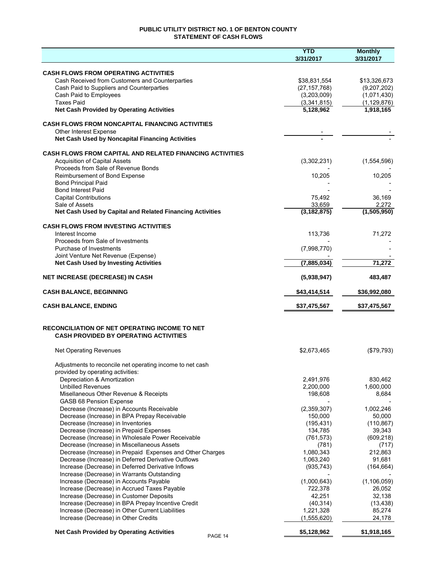# **PUBLIC UTILITY DISTRICT NO. 1 OF BENTON COUNTY STATEMENT OF CASH FLOWS**

|                                                                                                                  | <b>YTD</b><br>3/31/2017 | <b>Monthly</b><br>3/31/2017 |
|------------------------------------------------------------------------------------------------------------------|-------------------------|-----------------------------|
|                                                                                                                  |                         |                             |
| <b>CASH FLOWS FROM OPERATING ACTIVITIES</b><br>Cash Received from Customers and Counterparties                   | \$38,831,554            | \$13,326,673                |
| Cash Paid to Suppliers and Counterparties                                                                        | (27, 157, 768)          | (9,207,202)                 |
| Cash Paid to Employees                                                                                           | (3,203,009)             | (1,071,430)                 |
| <b>Taxes Paid</b>                                                                                                | (3,341,815)             | (1, 129, 876)               |
| <b>Net Cash Provided by Operating Activities</b>                                                                 | 5,128,962               | 1,918,165                   |
| <b>CASH FLOWS FROM NONCAPITAL FINANCING ACTIVITIES</b>                                                           |                         |                             |
| Other Interest Expense                                                                                           |                         |                             |
| Net Cash Used by Noncapital Financing Activities                                                                 |                         |                             |
| <b>CASH FLOWS FROM CAPITAL AND RELATED FINANCING ACTIVITIES</b>                                                  |                         |                             |
| <b>Acquisition of Capital Assets</b>                                                                             | (3,302,231)             | (1,554,596)                 |
| Proceeds from Sale of Revenue Bonds                                                                              |                         |                             |
| Reimbursement of Bond Expense                                                                                    | 10,205                  | 10,205                      |
| <b>Bond Principal Paid</b>                                                                                       |                         |                             |
| <b>Bond Interest Paid</b>                                                                                        |                         |                             |
| <b>Capital Contributions</b>                                                                                     | 75,492                  | 36,169                      |
| Sale of Assets                                                                                                   | 33,659                  | 2,272                       |
| Net Cash Used by Capital and Related Financing Activities                                                        | (3, 182, 875)           | (1,505,950)                 |
| <b>CASH FLOWS FROM INVESTING ACTIVITIES</b>                                                                      |                         |                             |
| Interest Income<br>Proceeds from Sale of Investments                                                             | 113,736                 | 71,272                      |
| Purchase of Investments                                                                                          | (7,998,770)             |                             |
| Joint Venture Net Revenue (Expense)<br><b>Net Cash Used by Investing Activities</b>                              | (7,885,034)             | 71,272                      |
|                                                                                                                  |                         |                             |
| <b>NET INCREASE (DECREASE) IN CASH</b>                                                                           | (5,938,947)             | 483,487                     |
| <b>CASH BALANCE, BEGINNING</b>                                                                                   | \$43,414,514            | \$36,992,080                |
| <b>CASH BALANCE, ENDING</b>                                                                                      | \$37,475,567            | \$37,475,567                |
|                                                                                                                  |                         |                             |
| RECONCILIATION OF NET OPERATING INCOME TO NET<br><b>CASH PROVIDED BY OPERATING ACTIVITIES</b>                    |                         |                             |
| <b>Net Operating Revenues</b>                                                                                    | \$2,673,465             | (\$79,793)                  |
| Adjustments to reconcile net operating income to net cash                                                        |                         |                             |
| provided by operating activities:                                                                                |                         |                             |
| Depreciation & Amortization                                                                                      | 2,491,976               | 830,462                     |
| <b>Unbilled Revenues</b>                                                                                         | 2,200,000               | 1,600,000                   |
| Misellaneous Other Revenue & Receipts                                                                            | 198,608                 | 8,684                       |
| GASB 68 Pension Expense                                                                                          |                         |                             |
| Decrease (Increase) in Accounts Receivable                                                                       | (2,359,307)             | 1,002,246                   |
| Decrease (Increase) in BPA Prepay Receivable                                                                     | 150,000                 | 50,000                      |
| Decrease (Increase) in Inventories                                                                               | (195, 431)              | (110, 867)                  |
| Decrease (Increase) in Prepaid Expenses                                                                          | 134,785                 | 39,343                      |
| Decrease (Increase) in Wholesale Power Receivable                                                                | (761, 573)              | (609, 218)                  |
| Decrease (Increase) in Miscellaneous Assets                                                                      | (781)                   | (717)                       |
| Decrease (Increase) in Prepaid Expenses and Other Charges<br>Decrease (Increase) in Deferred Derivative Outflows | 1,080,343<br>1,063,240  | 212,863<br>91,681           |
| Increase (Decrease) in Deferred Derivative Inflows                                                               | (935, 743)              | (164, 664)                  |
| Increase (Decrease) in Warrants Outstanding                                                                      |                         |                             |
| Increase (Decrease) in Accounts Payable                                                                          | (1,000,643)             | (1, 106, 059)               |
| Increase (Decrease) in Accrued Taxes Payable                                                                     | 722,378                 | 26,052                      |
| Increase (Decrease) in Customer Deposits                                                                         | 42,251                  | 32,138                      |
| Increase (Decrease) in BPA Prepay Incentive Credit                                                               | (40, 314)               | (13, 438)                   |
| Increase (Decrease) in Other Current Liabilities                                                                 | 1,221,328               | 85,274                      |
| Increase (Decrease) in Other Credits                                                                             | (1,555,620)             | 24,178                      |
| <b>Net Cash Provided by Operating Activities</b><br>PAGE 14                                                      | \$5,128,962             | \$1,918,165                 |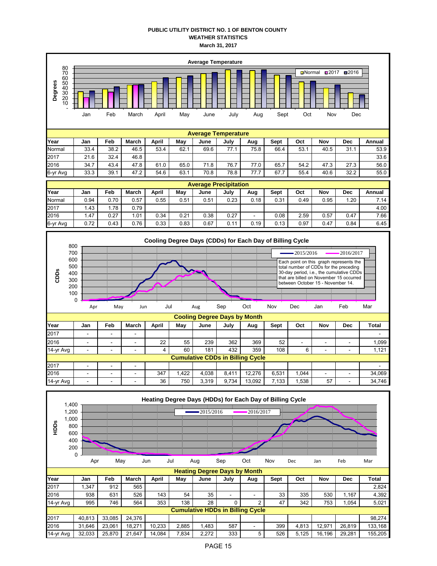# **PUBLIC UTILITY DISTRICT NO. 1 OF BENTON COUNTY WEATHER STATISTICS March 31, 2017**



| Year     | Jan  | ⊢eb  | march | April | mav  | June | July                  | Aug                      | Sept | OCt  | NOV  | Dec  | Annual |
|----------|------|------|-------|-------|------|------|-----------------------|--------------------------|------|------|------|------|--------|
| Normal   | 0.94 | 0.70 | 0.57  | 0.55  | 0.51 | 0.51 | 0.23                  | 0.18                     | 0.31 | 0.49 | 0.95 | .20  | 7.14   |
| 2017     | 1.43 | .78  | 0.79  |       |      |      |                       |                          |      |      |      |      | 4.00   |
| 2016     | 1.47 | 0.27 | .01   | 0.34  | 0.21 | 0.38 | 0.27                  | $\overline{\phantom{0}}$ | 0.08 | 2.59 | 0.57 | 0.47 | 7.66   |
| 6-yr Avg | 0.72 | 0.43 | 0.76  | 0.33  | 0.83 | 0.67 | $\overline{A}$<br>0.1 | 0.19                     | 0.13 | 0.97 | 0.47 | 0.84 | 6.45   |



| ▪∸                                      |                          |                          |                          | --  | ັບ   | ້     | ັບບ∠  | ັບບ    | ັ     |      |                          |   |        |
|-----------------------------------------|--------------------------|--------------------------|--------------------------|-----|------|-------|-------|--------|-------|------|--------------------------|---|--------|
| 14-yr Avg                               | $\overline{\phantom{0}}$ | $\overline{\phantom{0}}$ | $\overline{\phantom{0}}$ |     | 60   | 181   | 432   | 359    | 108   |      |                          |   | 1.121  |
| <b>Cumulative CDDs in Billing Cycle</b> |                          |                          |                          |     |      |       |       |        |       |      |                          |   |        |
| 2017                                    | -                        | -                        | $\overline{\phantom{a}}$ |     |      |       |       |        |       |      |                          |   | -      |
| 2016                                    |                          | -                        | -                        | 347 | .422 | 4.038 | 8.411 | 12.276 | 6.531 | .044 | $\overline{\phantom{a}}$ | - | 34.069 |
| 14-yr Avg                               | -                        | $\sim$                   | -                        | 36  | 750  | 3.319 | 9.734 | 13.092 | 7.133 | .538 | 57                       | - | 34.746 |

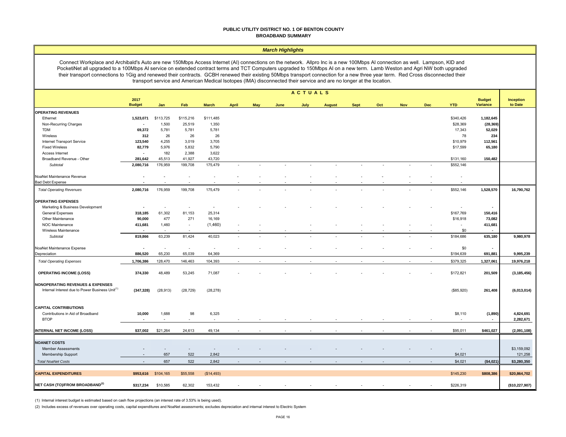#### **PUBLIC UTILITY DISTRICT NO. 1 OF BENTON COUNTY BROADBAND SUMMARY**

#### *March Highlights*

Connect Workplace and Archibald's Auto are new 150Mbps Access Internet (AI) connections on the network. Allpro Inc is a new 100Mbps AI connection as well. Lampson, KID and PocketiNet all upgraded to a 100Mbps AI service on extended contract terms and TCT Computers upgraded to 150Mbps AI on a new term. Lamb Weston and Agri NW both upgraded their transport connections to 1Gig and renewed their contracts. GCBH renewed their existing 50Mbps transport connection for a new three year term. Red Cross disconnected their transport service and American Medical Isotopes (IMA) disconnected their service and are no longer at the location.

|                                                             | ACTUALS                            |                          |                          |              |              |            |      |      |               |             |     |                          |     |            |                                  |                        |
|-------------------------------------------------------------|------------------------------------|--------------------------|--------------------------|--------------|--------------|------------|------|------|---------------|-------------|-----|--------------------------|-----|------------|----------------------------------|------------------------|
|                                                             | 2017<br><b>Budget</b>              | Jan                      | Feb                      | <b>March</b> | <b>April</b> | <b>May</b> | June | July | <b>August</b> | <b>Sept</b> | Oct | <b>Nov</b>               | Dec | <b>YTD</b> | <b>Budget</b><br><b>Variance</b> | Inception<br>to Date   |
| <b>OPERATING REVENUES</b>                                   |                                    |                          |                          |              |              |            |      |      |               |             |     |                          |     |            |                                  |                        |
| Ethernet                                                    | 1,523,071                          | \$113,725                | \$115,216                | \$111,485    |              |            |      |      |               |             |     |                          |     | \$340,426  | 1,182,645                        |                        |
| Non-Recurring Charges                                       | $\overline{\phantom{a}}$           | 1,500                    | 25,519                   | 1,350        |              |            |      |      |               |             |     |                          |     | \$28,369   | (28, 369)                        |                        |
| <b>TDM</b>                                                  | 69,372                             | 5,781                    | 5,781                    | 5,781        |              |            |      |      |               |             |     |                          |     | 17,343     | 52,029                           |                        |
| Wireless                                                    | 312                                | 26                       | 26                       | 26           |              |            |      |      |               |             |     |                          |     | 78         | 234                              |                        |
| Internet Transport Service                                  | 123,540                            | 4,255                    | 3,019                    | 3,705        |              |            |      |      |               |             |     |                          |     | \$10,979   | 112,561                          |                        |
| <b>Fixed Wireless</b>                                       | 82,779                             | 5,976                    | 5,832                    | 5,790        |              |            |      |      |               |             |     |                          |     | \$17,599   | 65,180                           |                        |
| Access Internet                                             | $\sim$                             | 182                      | 2,388                    | 3,622        |              |            |      |      |               |             |     |                          |     |            |                                  |                        |
| Broadband Revenue - Other                                   | 281,642                            | 45,513                   | 41,927                   | 43,720       |              |            |      |      |               |             |     |                          |     | \$131,160  | 150,482                          |                        |
| Subtotal                                                    | 2,080,716                          | 176,959                  | 199,708                  | 175,479      |              |            |      |      |               |             | ÷   | ÷,                       |     | \$552,146  |                                  |                        |
| NoaNet Maintenance Revenue                                  |                                    |                          |                          |              |              |            |      |      |               |             |     |                          |     |            |                                  |                        |
| <b>Bad Debt Expense</b>                                     |                                    |                          |                          |              |              |            |      |      |               |             |     |                          |     |            |                                  |                        |
| <b>Total Operating Revenues</b>                             | 2,080,716                          | 176,959                  | 199,708                  | 175,479      |              |            |      |      |               |             |     |                          |     | \$552,146  | 1,528,570                        | 16,790,762             |
| <b>OPERATING EXPENSES</b>                                   |                                    |                          |                          |              |              |            |      |      |               |             |     |                          |     |            |                                  |                        |
| Marketing & Business Development                            | $\overline{\phantom{a}}$           | $\sim$                   | ٠                        | $\sim$       |              |            |      |      |               |             |     |                          |     |            | $\sim$                           |                        |
| General Expenses                                            | 318,185                            | 61,302                   | 81,153                   | 25,314       |              |            |      |      |               |             |     |                          |     | \$167,769  | 150,416                          |                        |
| Other Maintenance                                           | 90,000                             | 477                      | 271                      | 16,169       |              |            |      |      |               |             |     |                          |     | \$16,918   | 73,082                           |                        |
| NOC Maintenance                                             | 411,681                            | 1,460                    | $\overline{\phantom{a}}$ | (1,460)      |              |            |      |      |               |             |     |                          |     |            | 411,681                          |                        |
| Wireless Maintenance                                        | $\overline{\phantom{a}}$           |                          |                          |              |              |            |      |      |               |             |     |                          |     | \$0        | $\blacksquare$                   |                        |
| Subtotal                                                    | 819,866                            | 63,239                   | 81,424                   | 40,023       | $\sim$       |            |      |      |               |             |     | $\overline{\phantom{a}}$ |     | \$184,686  | 635,180                          | 9,980,978              |
| NoaNet Maintenance Expense                                  | $\overline{\phantom{a}}$           | $\overline{\phantom{a}}$ | $\sim$                   | $\sim$       |              |            |      |      |               |             |     |                          |     | \$0        | $\blacksquare$                   |                        |
| Depreciation                                                | 886,520                            | 65,230                   | 65,039                   | 64,369       |              |            |      |      |               |             |     |                          |     | \$194,639  | 691,881                          | 9,995,239              |
| <b>Total Operating Expenses</b>                             | 1,706,386                          | 128,470                  | 146,463                  | 104,393      |              |            |      |      |               |             |     |                          |     | \$379,325  | 1,327,061                        | 19,976,218             |
| <b>OPERATING INCOME (LOSS)</b>                              | 374,330                            | 48,489                   | 53,245                   | 71,087       |              |            |      |      |               |             |     |                          |     | \$172,821  | 201,509                          | (3, 185, 456)          |
| NONOPERATING REVENUES & EXPENSES                            |                                    |                          |                          |              |              |            |      |      |               |             |     |                          |     |            |                                  |                        |
| Internal Interest due to Power Business Unit <sup>(1)</sup> | (347, 328)                         | (28, 913)                | (28, 729)                | (28, 278)    |              |            |      |      |               |             |     |                          |     | (\$85,920) | 261,408                          | (6,013,014)            |
| <b>CAPITAL CONTRIBUTIONS</b>                                |                                    |                          |                          |              |              |            |      |      |               |             |     |                          |     |            |                                  |                        |
| Contributions in Aid of Broadband<br><b>BTOP</b>            | 10,000<br>$\overline{\phantom{a}}$ | 1,688<br>×               | 98                       | 6,325<br>÷.  |              |            |      |      |               |             |     |                          |     | \$8,110    | (1,890)<br>$\sim$                | 4,824,691<br>2,282,671 |
|                                                             |                                    |                          |                          |              |              |            |      |      |               |             |     |                          |     |            |                                  |                        |
| <b>INTERNAL NET INCOME (LOSS)</b>                           | \$37,002                           | \$21,264                 | 24,613                   | 49,134       |              |            |      |      |               |             |     |                          |     | \$95,011   | \$461,027                        | (2,091,108)            |
| <b>NOANET COSTS</b>                                         |                                    |                          |                          |              |              |            |      |      |               |             |     |                          |     |            |                                  |                        |
| <b>Member Assessments</b>                                   | ۰                                  |                          | ۰.                       | $\sim$       |              |            |      |      |               |             |     |                          |     | $\sim$     |                                  | \$3,159,092            |
| Membership Support                                          | $\blacksquare$                     | 657                      | 522                      | 2,842        |              |            |      |      |               |             |     |                          |     | \$4,021    |                                  | 121,258                |
| <b>Total NoaNet Costs</b>                                   |                                    | 657                      | 522                      | 2,842        |              |            |      |      |               |             |     |                          |     | \$4,021    | (\$4,021)                        | \$3,280,350            |
| <b>CAPITAL EXPENDITURES</b>                                 | \$953,616                          | \$104,165                | \$55,558                 | (\$14,493)   |              |            |      |      |               |             |     |                          |     | \$145,230  | \$808,386                        | \$20,864,702           |
|                                                             |                                    |                          |                          |              |              |            |      |      |               |             |     |                          |     |            |                                  |                        |
| NET CASH (TO)/FROM BROADBAND <sup>(2)</sup>                 | \$317,234                          | \$10,585                 | 62,302                   | 153,432      |              |            |      |      |               |             |     |                          |     | \$226,319  |                                  | (\$10,227,907)         |

(1) Internal interest budget is estimated based on cash flow projections (an interest rate of 3.53% is being used).

(2) Includes excess of revenues over operating costs, capital expenditures and NoaNet assessments; excludes depreciation and internal interest to Electric System